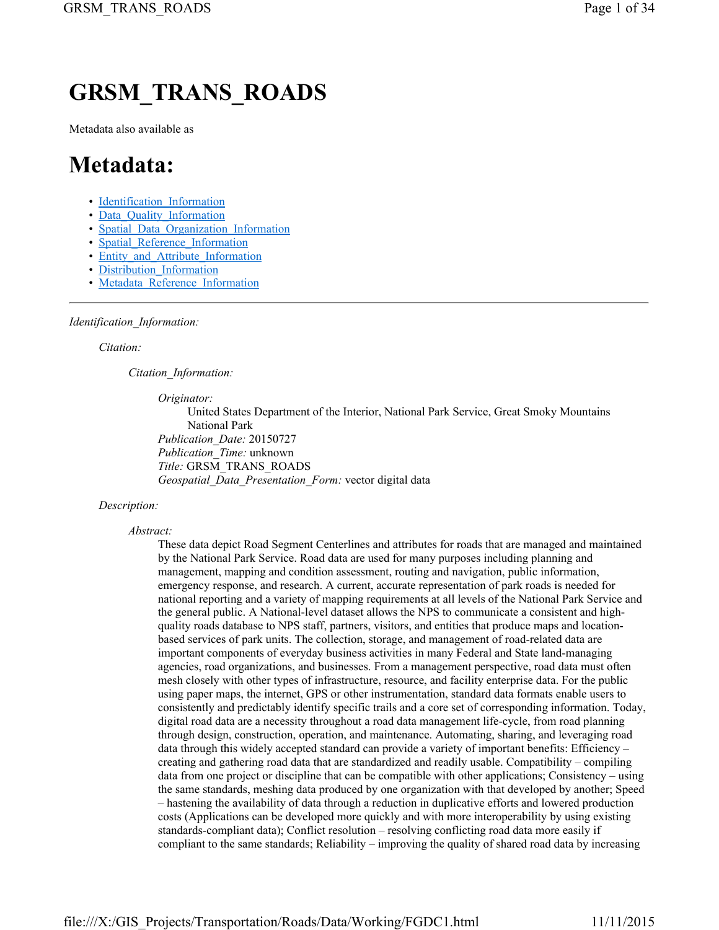# **GRSM\_TRANS\_ROADS**

Metadata also available as

## **Metadata:**

- Identification Information
- Data Quality Information
- Spatial\_Data\_Organization\_Information
- Spatial Reference Information
- Entity and Attribute Information
- Distribution Information
- Metadata Reference Information

## *Identification\_Information:*

#### *Citation:*

*Citation\_Information:*

*Originator:*

United States Department of the Interior, National Park Service, Great Smoky Mountains National Park *Publication\_Date:* 20150727 *Publication\_Time:* unknown *Title:* GRSM\_TRANS\_ROADS *Geospatial\_Data\_Presentation\_Form:* vector digital data

## *Description:*

## *Abstract:*

These data depict Road Segment Centerlines and attributes for roads that are managed and maintained by the National Park Service. Road data are used for many purposes including planning and management, mapping and condition assessment, routing and navigation, public information, emergency response, and research. A current, accurate representation of park roads is needed for national reporting and a variety of mapping requirements at all levels of the National Park Service and the general public. A National-level dataset allows the NPS to communicate a consistent and highquality roads database to NPS staff, partners, visitors, and entities that produce maps and locationbased services of park units. The collection, storage, and management of road-related data are important components of everyday business activities in many Federal and State land-managing agencies, road organizations, and businesses. From a management perspective, road data must often mesh closely with other types of infrastructure, resource, and facility enterprise data. For the public using paper maps, the internet, GPS or other instrumentation, standard data formats enable users to consistently and predictably identify specific trails and a core set of corresponding information. Today, digital road data are a necessity throughout a road data management life-cycle, from road planning through design, construction, operation, and maintenance. Automating, sharing, and leveraging road data through this widely accepted standard can provide a variety of important benefits: Efficiency – creating and gathering road data that are standardized and readily usable. Compatibility – compiling data from one project or discipline that can be compatible with other applications; Consistency – using the same standards, meshing data produced by one organization with that developed by another; Speed – hastening the availability of data through a reduction in duplicative efforts and lowered production costs (Applications can be developed more quickly and with more interoperability by using existing standards-compliant data); Conflict resolution – resolving conflicting road data more easily if compliant to the same standards; Reliability – improving the quality of shared road data by increasing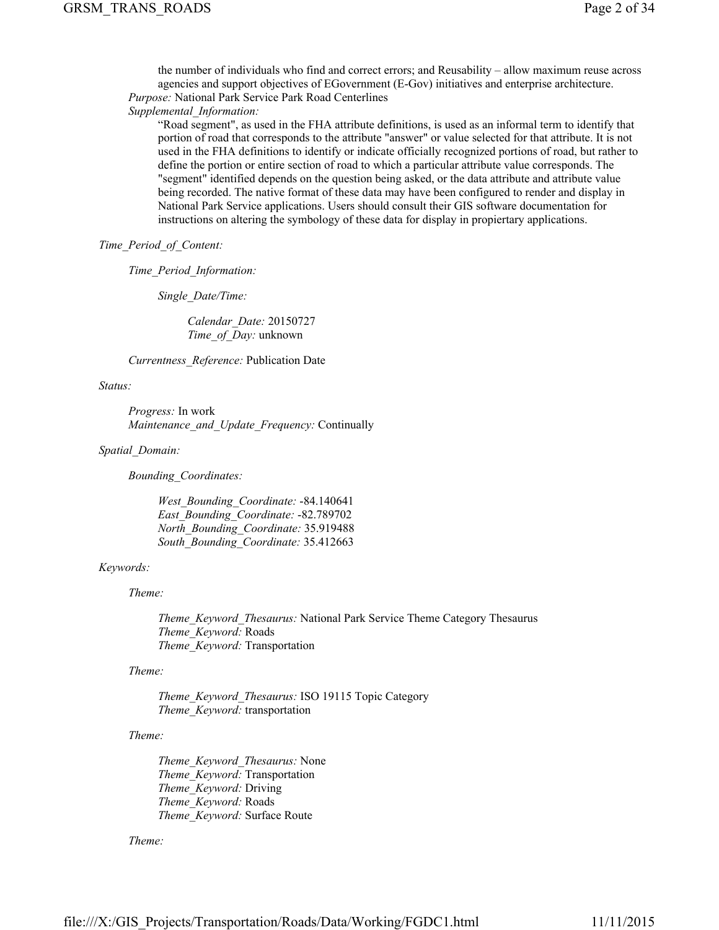the number of individuals who find and correct errors; and Reusability – allow maximum reuse across agencies and support objectives of EGovernment (E-Gov) initiatives and enterprise architecture. *Purpose:* National Park Service Park Road Centerlines

*Supplemental\_Information:*

"Road segment", as used in the FHA attribute definitions, is used as an informal term to identify that portion of road that corresponds to the attribute "answer" or value selected for that attribute. It is not used in the FHA definitions to identify or indicate officially recognized portions of road, but rather to define the portion or entire section of road to which a particular attribute value corresponds. The "segment" identified depends on the question being asked, or the data attribute and attribute value being recorded. The native format of these data may have been configured to render and display in National Park Service applications. Users should consult their GIS software documentation for instructions on altering the symbology of these data for display in propiertary applications.

## *Time\_Period\_of\_Content:*

*Time\_Period\_Information:*

*Single\_Date/Time:*

*Calendar\_Date:* 20150727 *Time\_of\_Day:* unknown

*Currentness\_Reference:* Publication Date

## *Status:*

*Progress:* In work *Maintenance\_and\_Update\_Frequency:* Continually

*Spatial\_Domain:*

*Bounding\_Coordinates:*

*West\_Bounding\_Coordinate:* -84.140641 *East\_Bounding\_Coordinate:* -82.789702 *North\_Bounding\_Coordinate:* 35.919488 *South\_Bounding\_Coordinate:* 35.412663

## *Keywords:*

*Theme:*

*Theme\_Keyword\_Thesaurus:* National Park Service Theme Category Thesaurus *Theme\_Keyword:* Roads *Theme\_Keyword:* Transportation

## *Theme:*

*Theme\_Keyword\_Thesaurus:* ISO 19115 Topic Category *Theme\_Keyword:* transportation

## *Theme:*

*Theme\_Keyword\_Thesaurus:* None *Theme\_Keyword:* Transportation *Theme\_Keyword:* Driving *Theme\_Keyword:* Roads *Theme\_Keyword:* Surface Route

## *Theme:*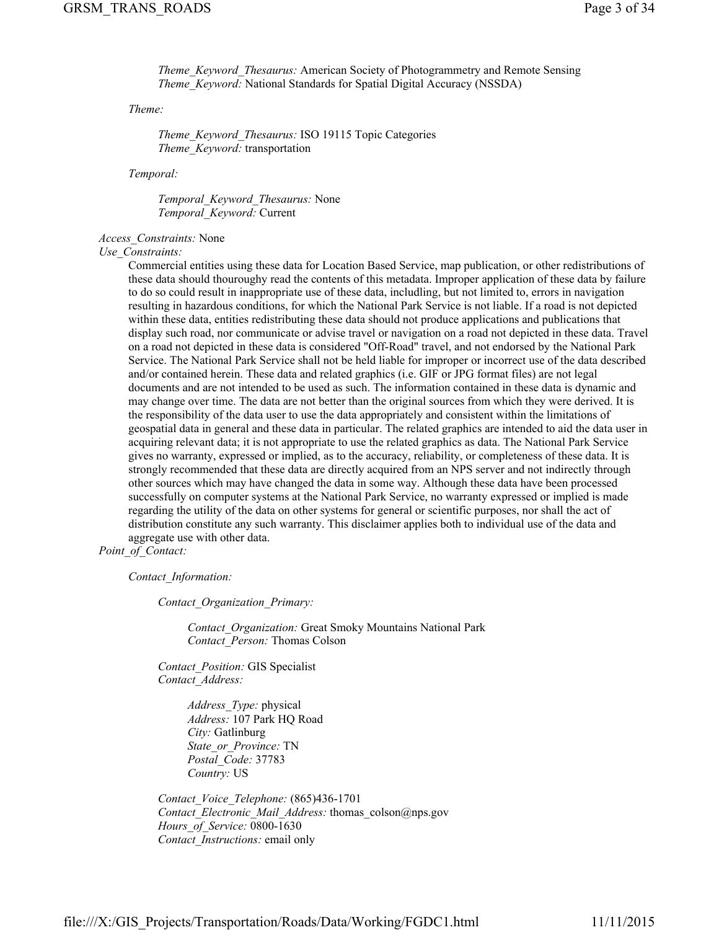*Theme\_Keyword\_Thesaurus:* American Society of Photogrammetry and Remote Sensing *Theme\_Keyword:* National Standards for Spatial Digital Accuracy (NSSDA)

*Theme:*

*Theme\_Keyword\_Thesaurus:* ISO 19115 Topic Categories *Theme\_Keyword:* transportation

*Temporal:*

*Temporal\_Keyword\_Thesaurus:* None *Temporal\_Keyword:* Current

*Access\_Constraints:* None

## *Use\_Constraints:*

Commercial entities using these data for Location Based Service, map publication, or other redistributions of these data should thouroughy read the contents of this metadata. Improper application of these data by failure to do so could result in inappropriate use of these data, includling, but not limited to, errors in navigation resulting in hazardous conditions, for which the National Park Service is not liable. If a road is not depicted within these data, entities redistributing these data should not produce applications and publications that display such road, nor communicate or advise travel or navigation on a road not depicted in these data. Travel on a road not depicted in these data is considered "Off-Road" travel, and not endorsed by the National Park Service. The National Park Service shall not be held liable for improper or incorrect use of the data described and/or contained herein. These data and related graphics (i.e. GIF or JPG format files) are not legal documents and are not intended to be used as such. The information contained in these data is dynamic and may change over time. The data are not better than the original sources from which they were derived. It is the responsibility of the data user to use the data appropriately and consistent within the limitations of geospatial data in general and these data in particular. The related graphics are intended to aid the data user in acquiring relevant data; it is not appropriate to use the related graphics as data. The National Park Service gives no warranty, expressed or implied, as to the accuracy, reliability, or completeness of these data. It is strongly recommended that these data are directly acquired from an NPS server and not indirectly through other sources which may have changed the data in some way. Although these data have been processed successfully on computer systems at the National Park Service, no warranty expressed or implied is made regarding the utility of the data on other systems for general or scientific purposes, nor shall the act of distribution constitute any such warranty. This disclaimer applies both to individual use of the data and aggregate use with other data.

*Point\_of\_Contact:*

*Contact\_Information:*

*Contact\_Organization\_Primary:*

*Contact\_Organization:* Great Smoky Mountains National Park *Contact\_Person:* Thomas Colson

*Contact\_Position:* GIS Specialist *Contact\_Address:*

> *Address\_Type:* physical *Address:* 107 Park HQ Road *City:* Gatlinburg *State\_or\_Province:* TN *Postal\_Code:* 37783 *Country:* US

*Contact\_Voice\_Telephone:* (865)436-1701 *Contact\_Electronic\_Mail\_Address:* thomas\_colson@nps.gov *Hours\_of\_Service:* 0800-1630 *Contact\_Instructions:* email only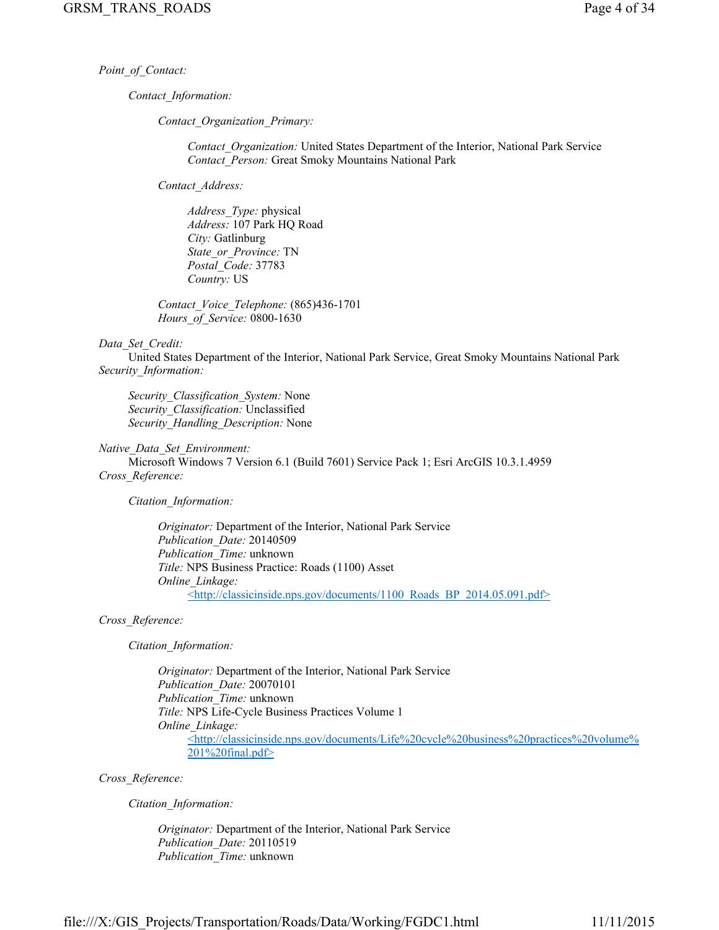*Point\_of\_Contact:*

*Contact\_Information:*

*Contact\_Organization\_Primary:*

*Contact\_Organization:* United States Department of the Interior, National Park Service *Contact\_Person:* Great Smoky Mountains National Park

*Contact\_Address:*

*Address\_Type:* physical *Address:* 107 Park HQ Road *City:* Gatlinburg *State\_or\_Province:* TN *Postal\_Code:* 37783 *Country:* US

*Contact\_Voice\_Telephone:* (865)436-1701 *Hours\_of\_Service:* 0800-1630

#### *Data\_Set\_Credit:*

United States Department of the Interior, National Park Service, Great Smoky Mountains National Park *Security\_Information:*

*Security\_Classification\_System:* None *Security\_Classification:* Unclassified *Security\_Handling\_Description:* None

#### *Native\_Data\_Set\_Environment:*

Microsoft Windows 7 Version 6.1 (Build 7601) Service Pack 1; Esri ArcGIS 10.3.1.4959 *Cross\_Reference:*

*Citation\_Information:*

*Originator:* Department of the Interior, National Park Service *Publication\_Date:* 20140509 *Publication\_Time:* unknown *Title:* NPS Business Practice: Roads (1100) Asset *Online\_Linkage:* <http://classicinside.nps.gov/documents/1100\_Roads\_BP\_2014.05.091.pdf>

## *Cross\_Reference:*

*Citation\_Information:*

*Originator:* Department of the Interior, National Park Service *Publication\_Date:* 20070101 *Publication\_Time:* unknown *Title:* NPS Life-Cycle Business Practices Volume 1 *Online\_Linkage:* <http://classicinside.nps.gov/documents/Life%20cycle%20business%20practices%20volume% 201%20final.pdf>

*Cross\_Reference:*

*Citation\_Information:*

*Originator:* Department of the Interior, National Park Service *Publication\_Date:* 20110519 *Publication\_Time:* unknown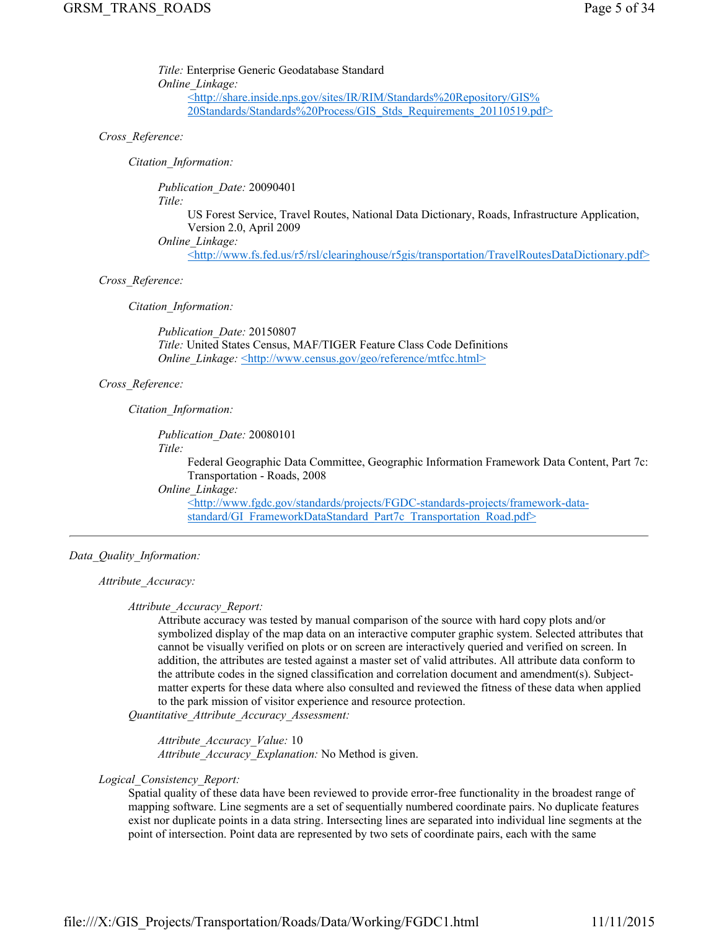*Title:* Enterprise Generic Geodatabase Standard *Online\_Linkage:* <http://share.inside.nps.gov/sites/IR/RIM/Standards%20Repository/GIS% 20Standards/Standards%20Process/GIS\_Stds\_Requirements\_20110519.pdf>

## *Cross\_Reference:*

*Citation\_Information:*

*Publication\_Date:* 20090401

*Title:*

US Forest Service, Travel Routes, National Data Dictionary, Roads, Infrastructure Application, Version 2.0, April 2009

*Online\_Linkage:*

<http://www.fs.fed.us/r5/rsl/clearinghouse/r5gis/transportation/TravelRoutesDataDictionary.pdf>

## *Cross\_Reference:*

*Citation\_Information:*

*Publication\_Date:* 20150807 *Title:* United States Census, MAF/TIGER Feature Class Code Definitions *Online\_Linkage:* <http://www.census.gov/geo/reference/mtfcc.html>

## *Cross\_Reference:*

*Citation\_Information:*

*Publication\_Date:* 20080101

*Title:*

Federal Geographic Data Committee, Geographic Information Framework Data Content, Part 7c: Transportation - Roads, 2008

*Online\_Linkage:*

<http://www.fgdc.gov/standards/projects/FGDC-standards-projects/framework-datastandard/GI\_FrameworkDataStandard\_Part7c\_Transportation\_Road.pdf>

## *Data\_Quality\_Information:*

*Attribute\_Accuracy:*

## *Attribute\_Accuracy\_Report:*

Attribute accuracy was tested by manual comparison of the source with hard copy plots and/or symbolized display of the map data on an interactive computer graphic system. Selected attributes that cannot be visually verified on plots or on screen are interactively queried and verified on screen. In addition, the attributes are tested against a master set of valid attributes. All attribute data conform to the attribute codes in the signed classification and correlation document and amendment(s). Subjectmatter experts for these data where also consulted and reviewed the fitness of these data when applied to the park mission of visitor experience and resource protection.

*Quantitative\_Attribute\_Accuracy\_Assessment:*

*Attribute\_Accuracy\_Value:* 10 *Attribute\_Accuracy\_Explanation:* No Method is given.

## *Logical\_Consistency\_Report:*

Spatial quality of these data have been reviewed to provide error-free functionality in the broadest range of mapping software. Line segments are a set of sequentially numbered coordinate pairs. No duplicate features exist nor duplicate points in a data string. Intersecting lines are separated into individual line segments at the point of intersection. Point data are represented by two sets of coordinate pairs, each with the same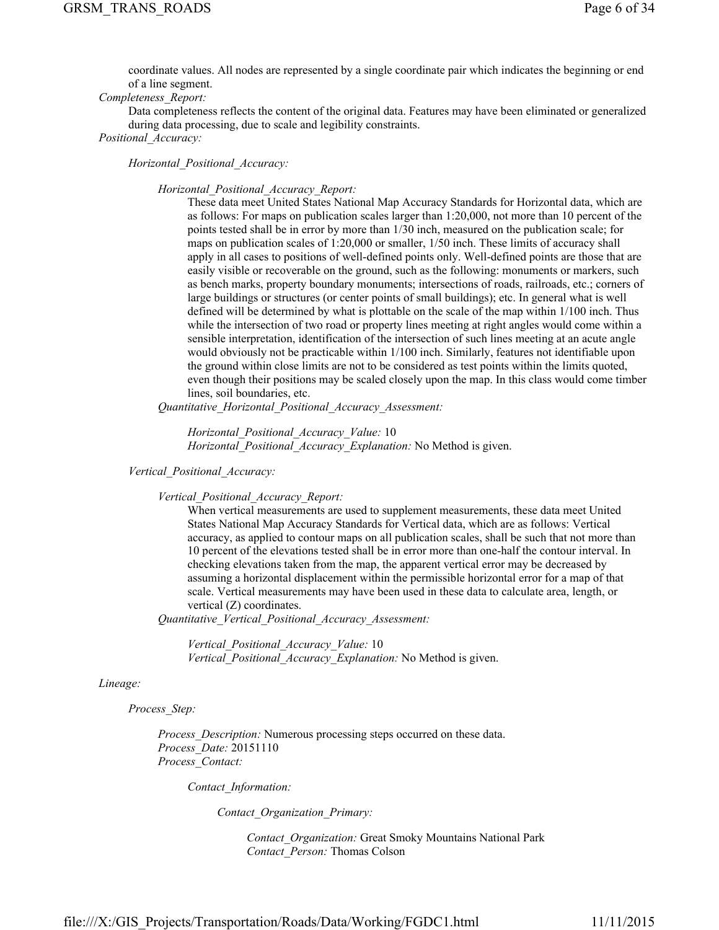coordinate values. All nodes are represented by a single coordinate pair which indicates the beginning or end of a line segment.

## *Completeness\_Report:*

Data completeness reflects the content of the original data. Features may have been eliminated or generalized during data processing, due to scale and legibility constraints. *Positional\_Accuracy:*

## *Horizontal\_Positional\_Accuracy:*

#### *Horizontal\_Positional\_Accuracy\_Report:*

These data meet United States National Map Accuracy Standards for Horizontal data, which are as follows: For maps on publication scales larger than 1:20,000, not more than 10 percent of the points tested shall be in error by more than 1/30 inch, measured on the publication scale; for maps on publication scales of 1:20,000 or smaller, 1/50 inch. These limits of accuracy shall apply in all cases to positions of well-defined points only. Well-defined points are those that are easily visible or recoverable on the ground, such as the following: monuments or markers, such as bench marks, property boundary monuments; intersections of roads, railroads, etc.; corners of large buildings or structures (or center points of small buildings); etc. In general what is well defined will be determined by what is plottable on the scale of the map within 1/100 inch. Thus while the intersection of two road or property lines meeting at right angles would come within a sensible interpretation, identification of the intersection of such lines meeting at an acute angle would obviously not be practicable within 1/100 inch. Similarly, features not identifiable upon the ground within close limits are not to be considered as test points within the limits quoted, even though their positions may be scaled closely upon the map. In this class would come timber lines, soil boundaries, etc.

*Quantitative\_Horizontal\_Positional\_Accuracy\_Assessment:*

*Horizontal\_Positional\_Accuracy\_Value:* 10 *Horizontal\_Positional\_Accuracy\_Explanation:* No Method is given.

*Vertical\_Positional\_Accuracy:*

*Vertical\_Positional\_Accuracy\_Report:*

When vertical measurements are used to supplement measurements, these data meet United States National Map Accuracy Standards for Vertical data, which are as follows: Vertical accuracy, as applied to contour maps on all publication scales, shall be such that not more than 10 percent of the elevations tested shall be in error more than one-half the contour interval. In checking elevations taken from the map, the apparent vertical error may be decreased by assuming a horizontal displacement within the permissible horizontal error for a map of that scale. Vertical measurements may have been used in these data to calculate area, length, or vertical (Z) coordinates.

*Quantitative\_Vertical\_Positional\_Accuracy\_Assessment:*

*Vertical\_Positional\_Accuracy\_Value:* 10 *Vertical\_Positional\_Accuracy\_Explanation:* No Method is given.

#### *Lineage:*

*Process\_Step:*

*Process\_Description:* Numerous processing steps occurred on these data. *Process\_Date:* 20151110 *Process\_Contact:*

*Contact\_Information:*

*Contact\_Organization\_Primary:*

*Contact\_Organization:* Great Smoky Mountains National Park *Contact\_Person:* Thomas Colson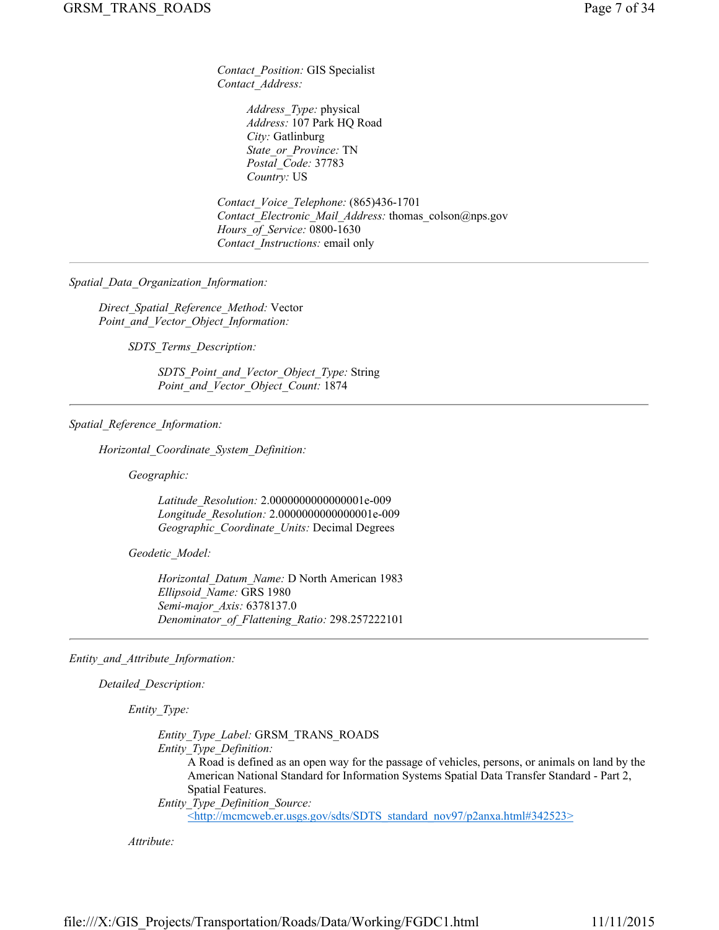*Contact\_Position:* GIS Specialist *Contact\_Address:*

> *Address\_Type:* physical *Address:* 107 Park HQ Road *City:* Gatlinburg *State\_or\_Province:* TN *Postal\_Code:* 37783 *Country:* US

*Contact\_Voice\_Telephone:* (865)436-1701 *Contact\_Electronic\_Mail\_Address:* thomas\_colson@nps.gov *Hours\_of\_Service:* 0800-1630 *Contact\_Instructions:* email only

*Spatial\_Data\_Organization\_Information:*

*Direct\_Spatial\_Reference\_Method:* Vector *Point\_and\_Vector\_Object\_Information:*

*SDTS\_Terms\_Description:*

*SDTS\_Point\_and\_Vector\_Object\_Type:* String *Point\_and\_Vector\_Object\_Count:* 1874

## *Spatial\_Reference\_Information:*

*Horizontal\_Coordinate\_System\_Definition:*

*Geographic:*

*Latitude\_Resolution:* 2.0000000000000001e-009 *Longitude\_Resolution:* 2.0000000000000001e-009 *Geographic\_Coordinate\_Units:* Decimal Degrees

*Geodetic\_Model:*

*Horizontal\_Datum\_Name:* D North American 1983 *Ellipsoid\_Name:* GRS 1980 *Semi-major\_Axis:* 6378137.0 *Denominator\_of\_Flattening\_Ratio:* 298.257222101

*Entity\_and\_Attribute\_Information:*

*Detailed\_Description:*

*Entity\_Type:*

*Entity\_Type\_Label:* GRSM\_TRANS\_ROADS *Entity\_Type\_Definition:* A Road is defined as an open way for the passage of vehicles, persons, or animals on land by the American National Standard for Information Systems Spatial Data Transfer Standard - Part 2, Spatial Features. *Entity\_Type\_Definition\_Source:*

<http://mcmcweb.er.usgs.gov/sdts/SDTS\_standard\_nov97/p2anxa.html#342523>

*Attribute:*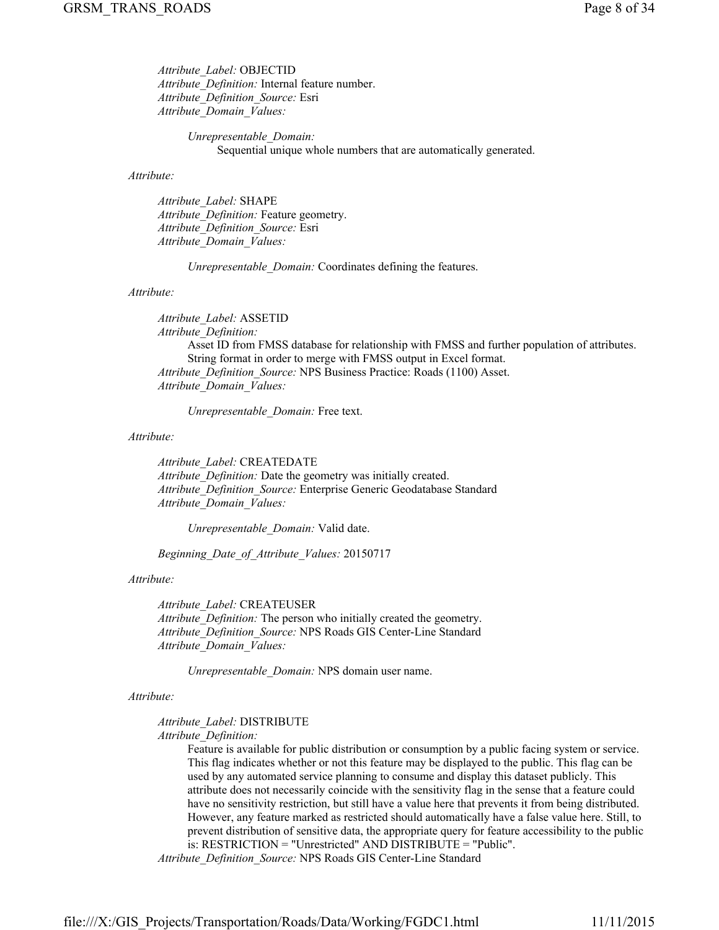*Attribute\_Label:* OBJECTID *Attribute\_Definition:* Internal feature number. *Attribute\_Definition\_Source:* Esri *Attribute\_Domain\_Values:*

> *Unrepresentable\_Domain:* Sequential unique whole numbers that are automatically generated.

#### *Attribute:*

*Attribute\_Label:* SHAPE *Attribute\_Definition:* Feature geometry. *Attribute\_Definition\_Source:* Esri *Attribute\_Domain\_Values:*

*Unrepresentable\_Domain:* Coordinates defining the features.

## *Attribute:*

*Attribute\_Label:* ASSETID *Attribute\_Definition:* Asset ID from FMSS database for relationship with FMSS and further population of attributes. String format in order to merge with FMSS output in Excel format. *Attribute\_Definition\_Source:* NPS Business Practice: Roads (1100) Asset. *Attribute\_Domain\_Values:*

*Unrepresentable\_Domain:* Free text.

#### *Attribute:*

*Attribute\_Label:* CREATEDATE *Attribute\_Definition:* Date the geometry was initially created. *Attribute\_Definition\_Source:* Enterprise Generic Geodatabase Standard *Attribute\_Domain\_Values:*

*Unrepresentable\_Domain:* Valid date.

*Beginning\_Date\_of\_Attribute\_Values:* 20150717

#### *Attribute:*

*Attribute\_Label:* CREATEUSER *Attribute\_Definition:* The person who initially created the geometry. *Attribute\_Definition\_Source:* NPS Roads GIS Center-Line Standard *Attribute\_Domain\_Values:*

*Unrepresentable\_Domain:* NPS domain user name.

#### *Attribute:*

*Attribute\_Label:* DISTRIBUTE

*Attribute\_Definition:*

Feature is available for public distribution or consumption by a public facing system or service. This flag indicates whether or not this feature may be displayed to the public. This flag can be used by any automated service planning to consume and display this dataset publicly. This attribute does not necessarily coincide with the sensitivity flag in the sense that a feature could have no sensitivity restriction, but still have a value here that prevents it from being distributed. However, any feature marked as restricted should automatically have a false value here. Still, to prevent distribution of sensitive data, the appropriate query for feature accessibility to the public is: RESTRICTION = "Unrestricted" AND DISTRIBUTE = "Public".

*Attribute\_Definition\_Source:* NPS Roads GIS Center-Line Standard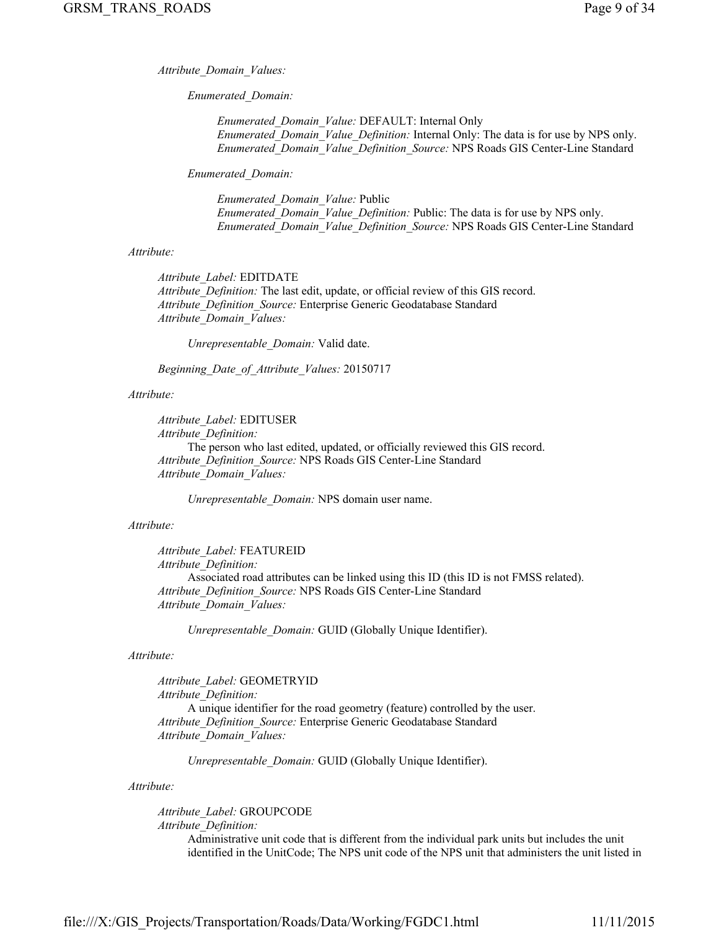*Attribute\_Domain\_Values:*

*Enumerated\_Domain:*

*Enumerated\_Domain\_Value:* DEFAULT: Internal Only *Enumerated\_Domain\_Value\_Definition:* Internal Only: The data is for use by NPS only. *Enumerated\_Domain\_Value\_Definition\_Source:* NPS Roads GIS Center-Line Standard

*Enumerated\_Domain:*

*Enumerated\_Domain\_Value:* Public *Enumerated\_Domain\_Value\_Definition:* Public: The data is for use by NPS only. *Enumerated\_Domain\_Value\_Definition\_Source:* NPS Roads GIS Center-Line Standard

#### *Attribute:*

*Attribute\_Label:* EDITDATE *Attribute\_Definition:* The last edit, update, or official review of this GIS record. *Attribute\_Definition\_Source:* Enterprise Generic Geodatabase Standard *Attribute\_Domain\_Values:*

*Unrepresentable\_Domain:* Valid date.

*Beginning\_Date\_of\_Attribute\_Values:* 20150717

## *Attribute:*

*Attribute\_Label:* EDITUSER *Attribute\_Definition:* The person who last edited, updated, or officially reviewed this GIS record. *Attribute\_Definition\_Source:* NPS Roads GIS Center-Line Standard *Attribute\_Domain\_Values:*

*Unrepresentable\_Domain:* NPS domain user name.

#### *Attribute:*

*Attribute\_Label:* FEATUREID *Attribute\_Definition:* Associated road attributes can be linked using this ID (this ID is not FMSS related). *Attribute\_Definition\_Source:* NPS Roads GIS Center-Line Standard *Attribute\_Domain\_Values:*

*Unrepresentable\_Domain:* GUID (Globally Unique Identifier).

#### *Attribute:*

*Attribute\_Label:* GEOMETRYID *Attribute\_Definition:* A unique identifier for the road geometry (feature) controlled by the user. *Attribute\_Definition\_Source:* Enterprise Generic Geodatabase Standard *Attribute\_Domain\_Values:*

*Unrepresentable\_Domain:* GUID (Globally Unique Identifier).

*Attribute:*

*Attribute\_Label:* GROUPCODE *Attribute\_Definition:*

> Administrative unit code that is different from the individual park units but includes the unit identified in the UnitCode; The NPS unit code of the NPS unit that administers the unit listed in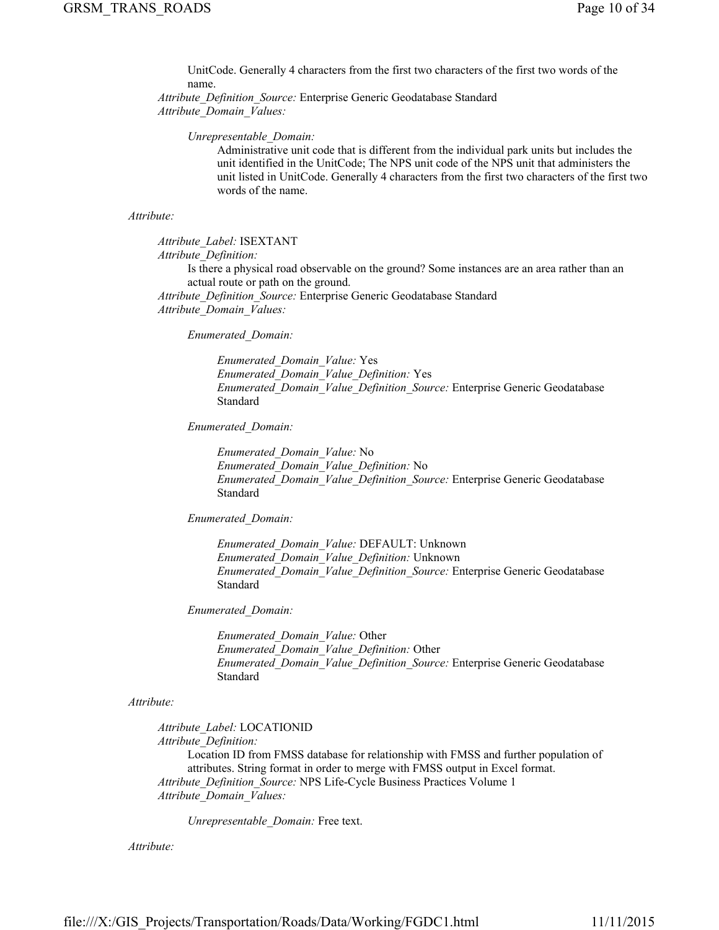UnitCode. Generally 4 characters from the first two characters of the first two words of the name.

*Attribute\_Definition\_Source:* Enterprise Generic Geodatabase Standard *Attribute\_Domain\_Values:*

#### *Unrepresentable\_Domain:*

Administrative unit code that is different from the individual park units but includes the unit identified in the UnitCode; The NPS unit code of the NPS unit that administers the unit listed in UnitCode. Generally 4 characters from the first two characters of the first two words of the name.

#### *Attribute:*

*Attribute\_Label:* ISEXTANT *Attribute\_Definition:*

> Is there a physical road observable on the ground? Some instances are an area rather than an actual route or path on the ground.

*Attribute\_Definition\_Source:* Enterprise Generic Geodatabase Standard *Attribute\_Domain\_Values:*

*Enumerated\_Domain:*

*Enumerated\_Domain\_Value:* Yes *Enumerated\_Domain\_Value\_Definition:* Yes *Enumerated\_Domain\_Value\_Definition\_Source:* Enterprise Generic Geodatabase Standard

*Enumerated\_Domain:*

*Enumerated\_Domain\_Value:* No *Enumerated\_Domain\_Value\_Definition:* No *Enumerated\_Domain\_Value\_Definition\_Source:* Enterprise Generic Geodatabase Standard

*Enumerated\_Domain:*

*Enumerated\_Domain\_Value:* DEFAULT: Unknown *Enumerated\_Domain\_Value\_Definition:* Unknown *Enumerated\_Domain\_Value\_Definition\_Source:* Enterprise Generic Geodatabase Standard

*Enumerated\_Domain:*

*Enumerated\_Domain\_Value:* Other *Enumerated\_Domain\_Value\_Definition:* Other *Enumerated\_Domain\_Value\_Definition\_Source:* Enterprise Generic Geodatabase Standard

## *Attribute:*

*Attribute\_Label:* LOCATIONID *Attribute\_Definition:*

Location ID from FMSS database for relationship with FMSS and further population of attributes. String format in order to merge with FMSS output in Excel format. *Attribute\_Definition\_Source:* NPS Life-Cycle Business Practices Volume 1 *Attribute\_Domain\_Values:*

*Unrepresentable\_Domain:* Free text.

*Attribute:*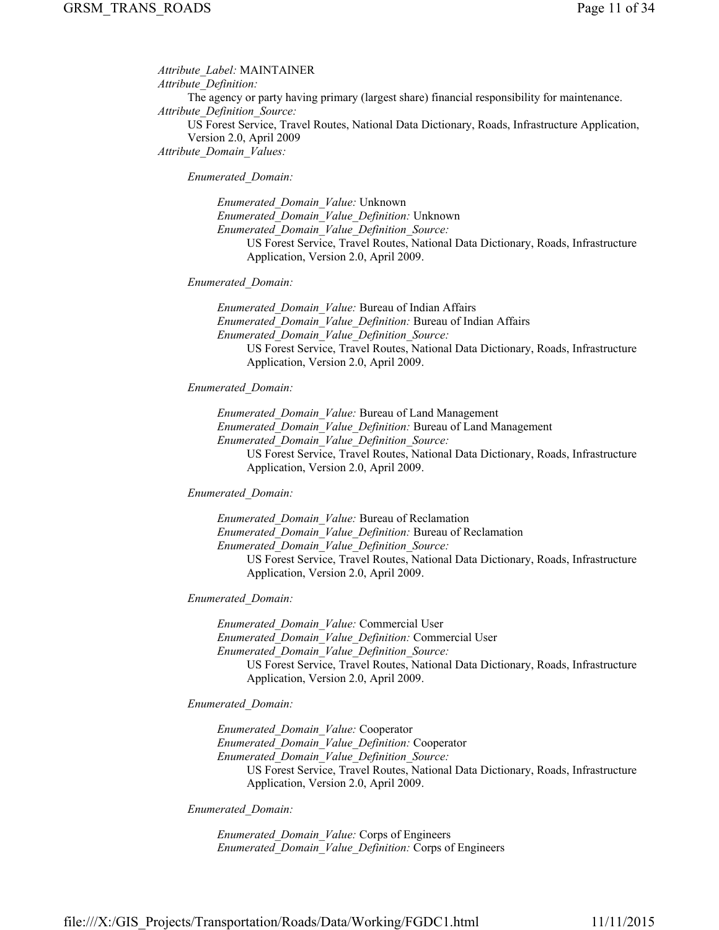*Attribute\_Label:* MAINTAINER *Attribute\_Definition:* The agency or party having primary (largest share) financial responsibility for maintenance. *Attribute\_Definition\_Source:* US Forest Service, Travel Routes, National Data Dictionary, Roads, Infrastructure Application, Version 2.0, April 2009 *Attribute\_Domain\_Values:*

*Enumerated\_Domain:*

*Enumerated\_Domain\_Value:* Unknown *Enumerated\_Domain\_Value\_Definition:* Unknown *Enumerated\_Domain\_Value\_Definition\_Source:* US Forest Service, Travel Routes, National Data Dictionary, Roads, Infrastructure Application, Version 2.0, April 2009.

## *Enumerated\_Domain:*

*Enumerated\_Domain\_Value:* Bureau of Indian Affairs *Enumerated\_Domain\_Value\_Definition:* Bureau of Indian Affairs *Enumerated\_Domain\_Value\_Definition\_Source:* US Forest Service, Travel Routes, National Data Dictionary, Roads, Infrastructure Application, Version 2.0, April 2009.

## *Enumerated\_Domain:*

*Enumerated\_Domain\_Value:* Bureau of Land Management *Enumerated\_Domain\_Value\_Definition:* Bureau of Land Management *Enumerated\_Domain\_Value\_Definition\_Source:* US Forest Service, Travel Routes, National Data Dictionary, Roads, Infrastructure Application, Version 2.0, April 2009.

## *Enumerated\_Domain:*

*Enumerated\_Domain\_Value:* Bureau of Reclamation *Enumerated\_Domain\_Value\_Definition:* Bureau of Reclamation *Enumerated\_Domain\_Value\_Definition\_Source:* US Forest Service, Travel Routes, National Data Dictionary, Roads, Infrastructure Application, Version 2.0, April 2009.

## *Enumerated\_Domain:*

*Enumerated\_Domain\_Value:* Commercial User *Enumerated\_Domain\_Value\_Definition:* Commercial User *Enumerated\_Domain\_Value\_Definition\_Source:* US Forest Service, Travel Routes, National Data Dictionary, Roads, Infrastructure Application, Version 2.0, April 2009.

#### *Enumerated\_Domain:*

*Enumerated\_Domain\_Value:* Cooperator *Enumerated\_Domain\_Value\_Definition:* Cooperator *Enumerated\_Domain\_Value\_Definition\_Source:* US Forest Service, Travel Routes, National Data Dictionary, Roads, Infrastructure Application, Version 2.0, April 2009.

*Enumerated\_Domain:*

*Enumerated\_Domain\_Value:* Corps of Engineers *Enumerated\_Domain\_Value\_Definition:* Corps of Engineers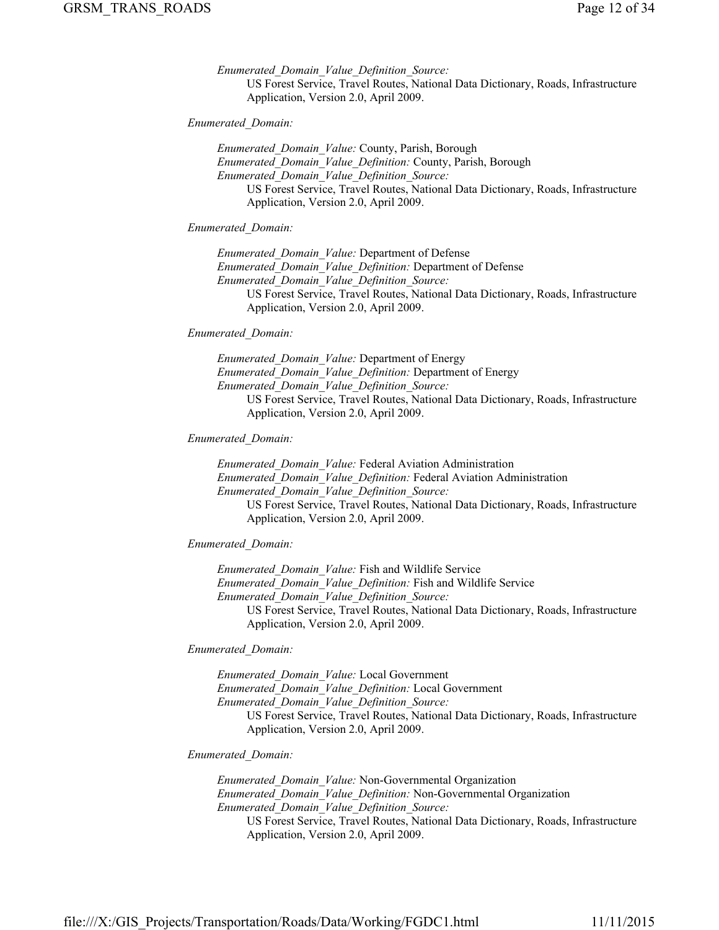*Enumerated\_Domain\_Value\_Definition\_Source:* US Forest Service, Travel Routes, National Data Dictionary, Roads, Infrastructure Application, Version 2.0, April 2009.

*Enumerated\_Domain:*

*Enumerated\_Domain\_Value:* County, Parish, Borough *Enumerated\_Domain\_Value\_Definition:* County, Parish, Borough *Enumerated\_Domain\_Value\_Definition\_Source:* US Forest Service, Travel Routes, National Data Dictionary, Roads, Infrastructure Application, Version 2.0, April 2009.

*Enumerated\_Domain:*

*Enumerated\_Domain\_Value:* Department of Defense *Enumerated\_Domain\_Value\_Definition:* Department of Defense *Enumerated\_Domain\_Value\_Definition\_Source:* US Forest Service, Travel Routes, National Data Dictionary, Roads, Infrastructure Application, Version 2.0, April 2009.

*Enumerated\_Domain:*

*Enumerated\_Domain\_Value:* Department of Energy *Enumerated\_Domain\_Value\_Definition:* Department of Energy *Enumerated\_Domain\_Value\_Definition\_Source:* US Forest Service, Travel Routes, National Data Dictionary, Roads, Infrastructure Application, Version 2.0, April 2009.

## *Enumerated\_Domain:*

*Enumerated\_Domain\_Value:* Federal Aviation Administration *Enumerated\_Domain\_Value\_Definition:* Federal Aviation Administration *Enumerated\_Domain\_Value\_Definition\_Source:* US Forest Service, Travel Routes, National Data Dictionary, Roads, Infrastructure Application, Version 2.0, April 2009.

*Enumerated\_Domain:*

*Enumerated\_Domain\_Value:* Fish and Wildlife Service *Enumerated\_Domain\_Value\_Definition:* Fish and Wildlife Service *Enumerated\_Domain\_Value\_Definition\_Source:* US Forest Service, Travel Routes, National Data Dictionary, Roads, Infrastructure Application, Version 2.0, April 2009.

*Enumerated\_Domain:*

*Enumerated\_Domain\_Value:* Local Government *Enumerated\_Domain\_Value\_Definition:* Local Government *Enumerated\_Domain\_Value\_Definition\_Source:* US Forest Service, Travel Routes, National Data Dictionary, Roads, Infrastructure Application, Version 2.0, April 2009.

## *Enumerated\_Domain:*

*Enumerated\_Domain\_Value:* Non-Governmental Organization *Enumerated\_Domain\_Value\_Definition:* Non-Governmental Organization *Enumerated\_Domain\_Value\_Definition\_Source:* US Forest Service, Travel Routes, National Data Dictionary, Roads, Infrastructure Application, Version 2.0, April 2009.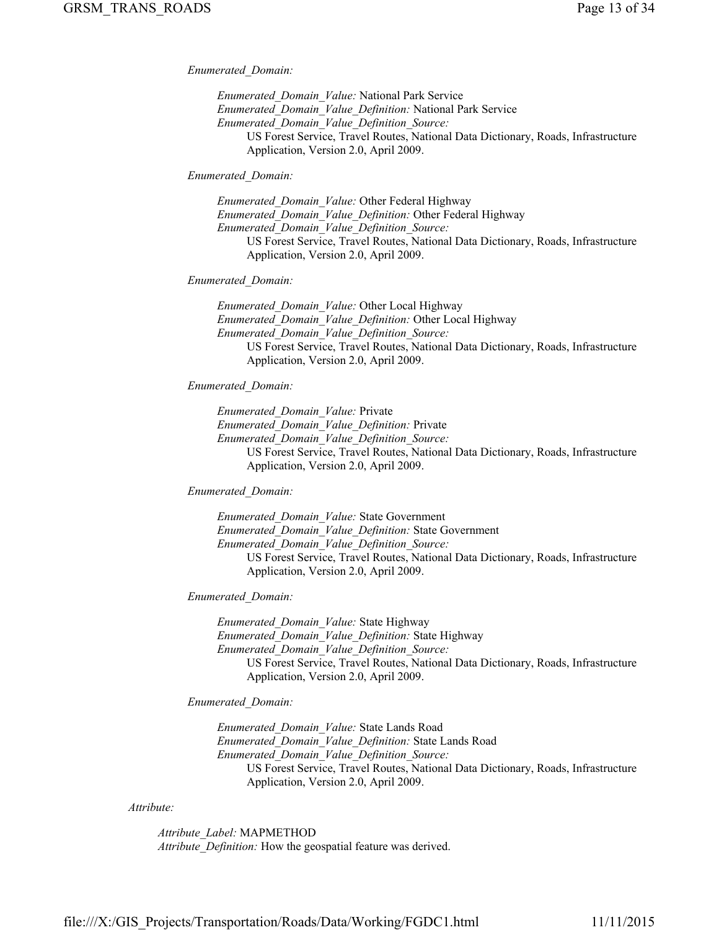*Enumerated\_Domain:*

*Enumerated\_Domain\_Value:* National Park Service *Enumerated\_Domain\_Value\_Definition:* National Park Service *Enumerated\_Domain\_Value\_Definition\_Source:* US Forest Service, Travel Routes, National Data Dictionary, Roads, Infrastructure Application, Version 2.0, April 2009.

*Enumerated\_Domain:*

*Enumerated\_Domain\_Value:* Other Federal Highway *Enumerated\_Domain\_Value\_Definition:* Other Federal Highway *Enumerated\_Domain\_Value\_Definition\_Source:* US Forest Service, Travel Routes, National Data Dictionary, Roads, Infrastructure Application, Version 2.0, April 2009.

## *Enumerated\_Domain:*

*Enumerated\_Domain\_Value:* Other Local Highway *Enumerated\_Domain\_Value\_Definition:* Other Local Highway *Enumerated\_Domain\_Value\_Definition\_Source:* US Forest Service, Travel Routes, National Data Dictionary, Roads, Infrastructure Application, Version 2.0, April 2009.

## *Enumerated\_Domain:*

*Enumerated\_Domain\_Value:* Private

*Enumerated\_Domain\_Value\_Definition:* Private

*Enumerated\_Domain\_Value\_Definition\_Source:*

US Forest Service, Travel Routes, National Data Dictionary, Roads, Infrastructure Application, Version 2.0, April 2009.

## *Enumerated\_Domain:*

*Enumerated\_Domain\_Value:* State Government *Enumerated\_Domain\_Value\_Definition:* State Government *Enumerated\_Domain\_Value\_Definition\_Source:* US Forest Service, Travel Routes, National Data Dictionary, Roads, Infrastructure Application, Version 2.0, April 2009.

#### *Enumerated\_Domain:*

*Enumerated\_Domain\_Value:* State Highway *Enumerated\_Domain\_Value\_Definition:* State Highway *Enumerated\_Domain\_Value\_Definition\_Source:* US Forest Service, Travel Routes, National Data Dictionary, Roads, Infrastructure Application, Version 2.0, April 2009.

#### *Enumerated\_Domain:*

*Enumerated\_Domain\_Value:* State Lands Road *Enumerated\_Domain\_Value\_Definition:* State Lands Road *Enumerated\_Domain\_Value\_Definition\_Source:* US Forest Service, Travel Routes, National Data Dictionary, Roads, Infrastructure Application, Version 2.0, April 2009.

#### *Attribute:*

*Attribute\_Label:* MAPMETHOD *Attribute\_Definition:* How the geospatial feature was derived.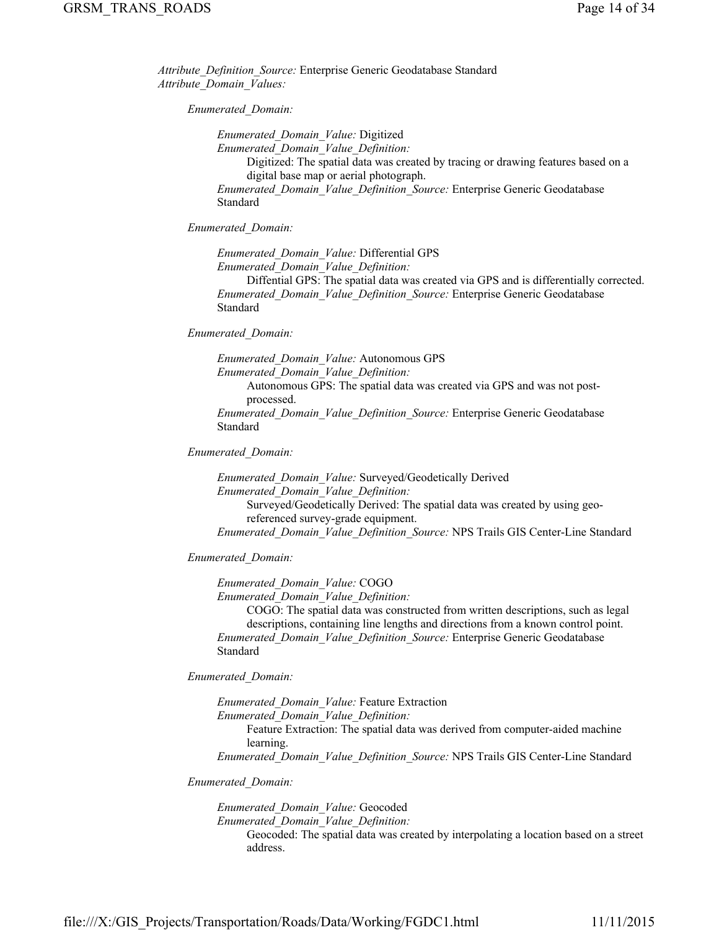*Attribute\_Definition\_Source:* Enterprise Generic Geodatabase Standard *Attribute\_Domain\_Values:*

*Enumerated\_Domain:*

*Enumerated\_Domain\_Value:* Digitized

*Enumerated\_Domain\_Value\_Definition:*

Digitized: The spatial data was created by tracing or drawing features based on a digital base map or aerial photograph.

*Enumerated\_Domain\_Value\_Definition\_Source:* Enterprise Generic Geodatabase Standard

*Enumerated\_Domain:*

*Enumerated\_Domain\_Value:* Differential GPS *Enumerated\_Domain\_Value\_Definition:*

Diffential GPS: The spatial data was created via GPS and is differentially corrected. *Enumerated\_Domain\_Value\_Definition\_Source:* Enterprise Generic Geodatabase Standard

*Enumerated\_Domain:*

*Enumerated\_Domain\_Value:* Autonomous GPS

*Enumerated\_Domain\_Value\_Definition:* Autonomous GPS: The spatial data was created via GPS and was not post-

processed.

*Enumerated\_Domain\_Value\_Definition\_Source:* Enterprise Generic Geodatabase Standard

*Enumerated\_Domain:*

*Enumerated\_Domain\_Value:* Surveyed/Geodetically Derived *Enumerated\_Domain\_Value\_Definition:* Surveyed/Geodetically Derived: The spatial data was created by using georeferenced survey-grade equipment. *Enumerated\_Domain\_Value\_Definition\_Source:* NPS Trails GIS Center-Line Standard

*Enumerated\_Domain:*

*Enumerated\_Domain\_Value:* COGO

*Enumerated\_Domain\_Value\_Definition:*

COGO: The spatial data was constructed from written descriptions, such as legal descriptions, containing line lengths and directions from a known control point. *Enumerated\_Domain\_Value\_Definition\_Source:* Enterprise Generic Geodatabase Standard

*Enumerated\_Domain:*

*Enumerated\_Domain\_Value:* Feature Extraction

*Enumerated\_Domain\_Value\_Definition:*

Feature Extraction: The spatial data was derived from computer-aided machine learning.

*Enumerated\_Domain\_Value\_Definition\_Source:* NPS Trails GIS Center-Line Standard

*Enumerated\_Domain:*

*Enumerated\_Domain\_Value:* Geocoded

*Enumerated\_Domain\_Value\_Definition:*

Geocoded: The spatial data was created by interpolating a location based on a street address.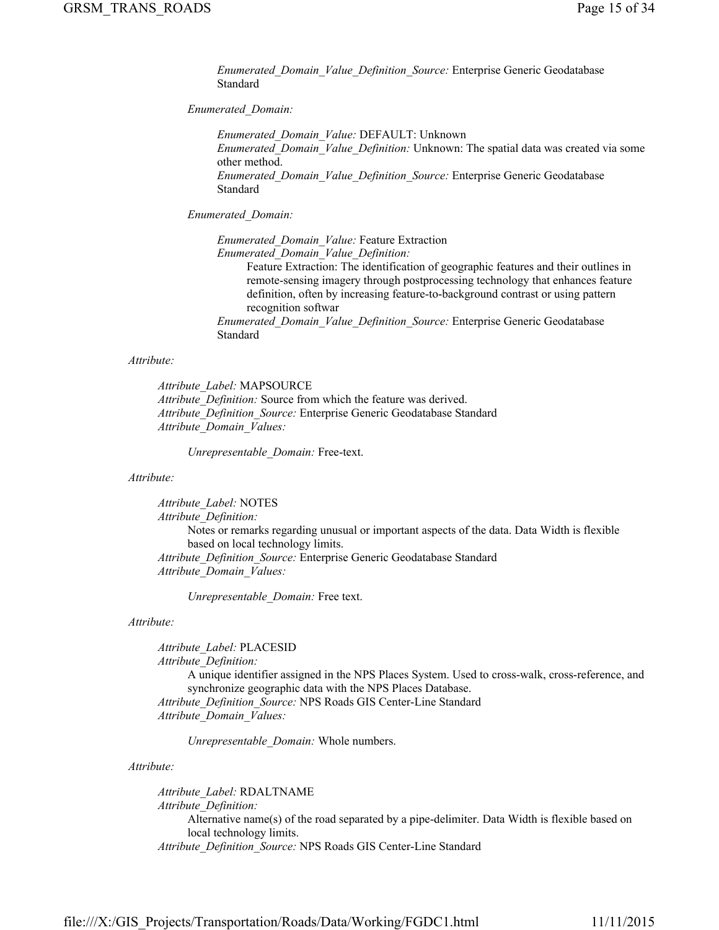*Enumerated\_Domain\_Value\_Definition\_Source:* Enterprise Generic Geodatabase Standard

## *Enumerated\_Domain:*

*Enumerated\_Domain\_Value:* DEFAULT: Unknown *Enumerated\_Domain\_Value\_Definition:* Unknown: The spatial data was created via some other method. *Enumerated\_Domain\_Value\_Definition\_Source:* Enterprise Generic Geodatabase Standard

*Enumerated\_Domain:*

*Enumerated\_Domain\_Value:* Feature Extraction *Enumerated\_Domain\_Value\_Definition:* Feature Extraction: The identification of geographic features and their outlines in remote-sensing imagery through postprocessing technology that enhances feature definition, often by increasing feature-to-background contrast or using pattern recognition softwar *Enumerated\_Domain\_Value\_Definition\_Source:* Enterprise Generic Geodatabase Standard

## *Attribute:*

*Attribute\_Label:* MAPSOURCE *Attribute\_Definition:* Source from which the feature was derived. *Attribute\_Definition\_Source:* Enterprise Generic Geodatabase Standard *Attribute\_Domain\_Values:*

*Unrepresentable\_Domain:* Free-text.

## *Attribute:*

*Attribute\_Label:* NOTES *Attribute\_Definition:* Notes or remarks regarding unusual or important aspects of the data. Data Width is flexible based on local technology limits. *Attribute\_Definition\_Source:* Enterprise Generic Geodatabase Standard *Attribute\_Domain\_Values:*

*Unrepresentable\_Domain:* Free text.

#### *Attribute:*

*Attribute\_Label:* PLACESID *Attribute\_Definition:* A unique identifier assigned in the NPS Places System. Used to cross-walk, cross-reference, and synchronize geographic data with the NPS Places Database. *Attribute\_Definition\_Source:* NPS Roads GIS Center-Line Standard *Attribute\_Domain\_Values:*

*Unrepresentable\_Domain:* Whole numbers.

## *Attribute:*

*Attribute\_Label:* RDALTNAME *Attribute\_Definition:* Alternative name(s) of the road separated by a pipe-delimiter. Data Width is flexible based on local technology limits. *Attribute\_Definition\_Source:* NPS Roads GIS Center-Line Standard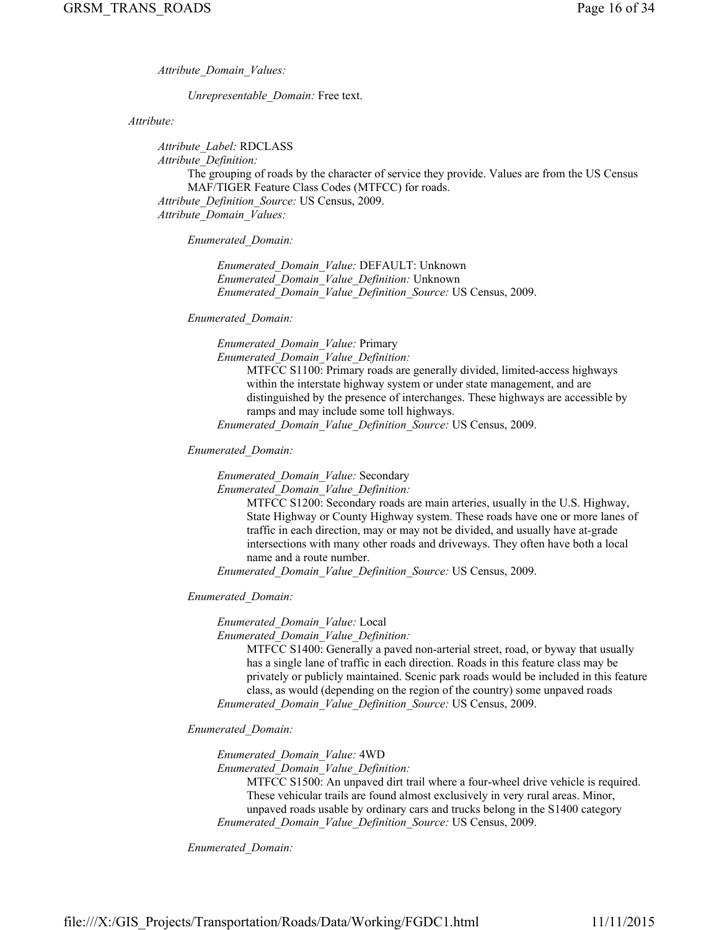*Attribute\_Domain\_Values:*

*Unrepresentable\_Domain:* Free text.

*Attribute:*

*Attribute\_Label:* RDCLASS *Attribute\_Definition:* The grouping of roads by the character of service they provide. Values are from the US Census MAF/TIGER Feature Class Codes (MTFCC) for roads. *Attribute\_Definition\_Source:* US Census, 2009. *Attribute\_Domain\_Values:*

*Enumerated\_Domain:*

*Enumerated\_Domain\_Value:* DEFAULT: Unknown *Enumerated\_Domain\_Value\_Definition:* Unknown *Enumerated\_Domain\_Value\_Definition\_Source:* US Census, 2009.

## *Enumerated\_Domain:*

*Enumerated\_Domain\_Value:* Primary

*Enumerated\_Domain\_Value\_Definition:*

MTFCC S1100: Primary roads are generally divided, limited-access highways within the interstate highway system or under state management, and are distinguished by the presence of interchanges. These highways are accessible by ramps and may include some toll highways.

*Enumerated\_Domain\_Value\_Definition\_Source:* US Census, 2009.

*Enumerated\_Domain:*

*Enumerated\_Domain\_Value:* Secondary

*Enumerated\_Domain\_Value\_Definition:*

MTFCC S1200: Secondary roads are main arteries, usually in the U.S. Highway, State Highway or County Highway system. These roads have one or more lanes of traffic in each direction, may or may not be divided, and usually have at-grade intersections with many other roads and driveways. They often have both a local name and a route number.

*Enumerated\_Domain\_Value\_Definition\_Source:* US Census, 2009.

*Enumerated\_Domain:*

*Enumerated\_Domain\_Value:* Local

*Enumerated\_Domain\_Value\_Definition:*

MTFCC S1400: Generally a paved non-arterial street, road, or byway that usually has a single lane of traffic in each direction. Roads in this feature class may be privately or publicly maintained. Scenic park roads would be included in this feature class, as would (depending on the region of the country) some unpaved roads *Enumerated\_Domain\_Value\_Definition\_Source:* US Census, 2009.

*Enumerated\_Domain:*

*Enumerated\_Domain\_Value:* 4WD

*Enumerated\_Domain\_Value\_Definition:*

MTFCC S1500: An unpaved dirt trail where a four-wheel drive vehicle is required. These vehicular trails are found almost exclusively in very rural areas. Minor, unpaved roads usable by ordinary cars and trucks belong in the S1400 category *Enumerated\_Domain\_Value\_Definition\_Source:* US Census, 2009.

*Enumerated\_Domain:*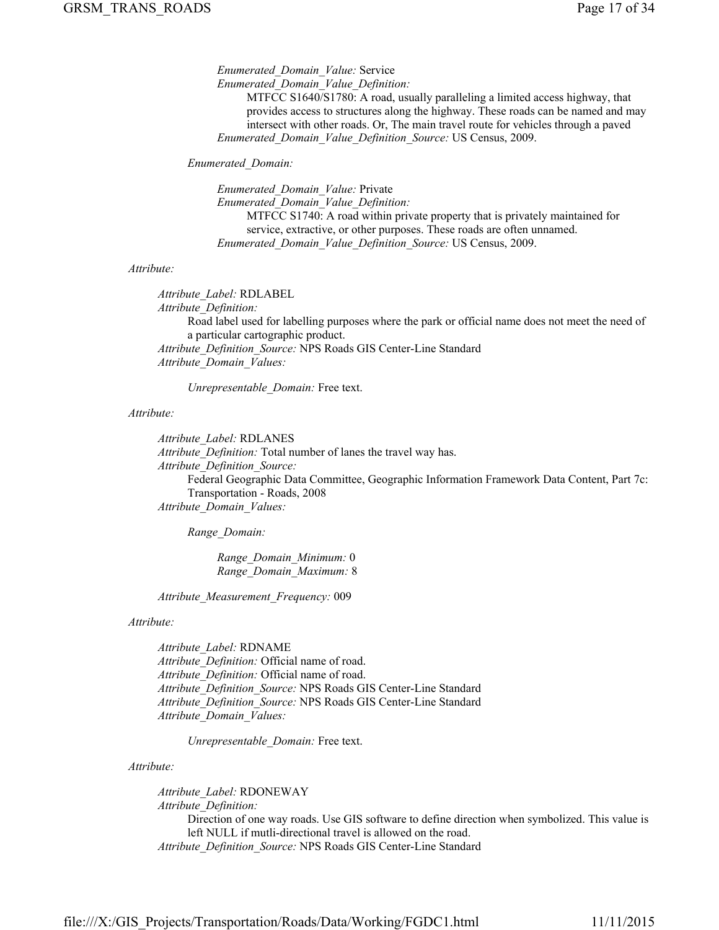*Enumerated\_Domain\_Value:* Service *Enumerated\_Domain\_Value\_Definition:*

MTFCC S1640/S1780: A road, usually paralleling a limited access highway, that provides access to structures along the highway. These roads can be named and may intersect with other roads. Or, The main travel route for vehicles through a paved *Enumerated\_Domain\_Value\_Definition\_Source:* US Census, 2009.

#### *Enumerated\_Domain:*

*Enumerated\_Domain\_Value:* Private *Enumerated\_Domain\_Value\_Definition:* MTFCC S1740: A road within private property that is privately maintained for service, extractive, or other purposes. These roads are often unnamed. *Enumerated\_Domain\_Value\_Definition\_Source:* US Census, 2009.

#### *Attribute:*

*Attribute\_Label:* RDLABEL *Attribute\_Definition:* Road label used for labelling purposes where the park or official name does not meet the need of a particular cartographic product. *Attribute\_Definition\_Source:* NPS Roads GIS Center-Line Standard *Attribute\_Domain\_Values:*

*Unrepresentable\_Domain:* Free text.

#### *Attribute:*

*Attribute\_Label:* RDLANES *Attribute\_Definition:* Total number of lanes the travel way has. *Attribute\_Definition\_Source:* Federal Geographic Data Committee, Geographic Information Framework Data Content, Part 7c: Transportation - Roads, 2008 *Attribute\_Domain\_Values:*

*Range\_Domain:*

*Range\_Domain\_Minimum:* 0 *Range\_Domain\_Maximum:* 8

*Attribute\_Measurement\_Frequency:* 009

#### *Attribute:*

*Attribute\_Label:* RDNAME *Attribute\_Definition:* Official name of road. *Attribute\_Definition:* Official name of road. *Attribute\_Definition\_Source:* NPS Roads GIS Center-Line Standard *Attribute\_Definition\_Source:* NPS Roads GIS Center-Line Standard *Attribute\_Domain\_Values:*

*Unrepresentable\_Domain:* Free text.

#### *Attribute:*

*Attribute\_Label:* RDONEWAY *Attribute\_Definition:* Direction of one way roads. Use GIS software to define direction when symbolized. This value is left NULL if mutli-directional travel is allowed on the road. *Attribute\_Definition\_Source:* NPS Roads GIS Center-Line Standard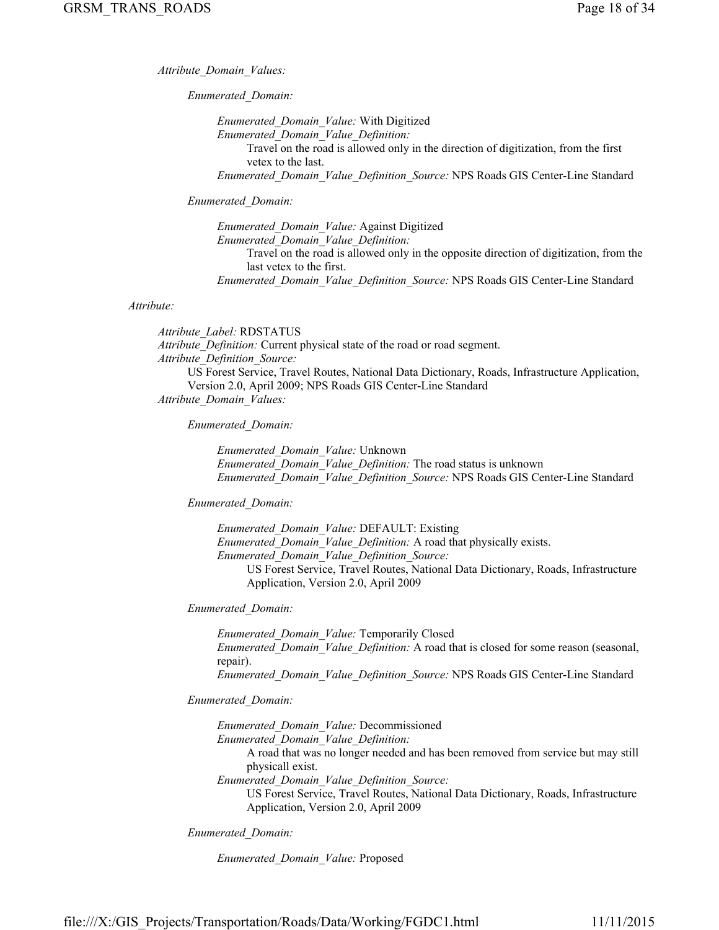*Attribute\_Domain\_Values:*

*Enumerated\_Domain:*

*Enumerated\_Domain\_Value:* With Digitized *Enumerated\_Domain\_Value\_Definition:* Travel on the road is allowed only in the direction of digitization, from the first vetex to the last. *Enumerated\_Domain\_Value\_Definition\_Source:* NPS Roads GIS Center-Line Standard

*Enumerated\_Domain:*

*Enumerated\_Domain\_Value:* Against Digitized *Enumerated\_Domain\_Value\_Definition:* Travel on the road is allowed only in the opposite direction of digitization, from the last vetex to the first. *Enumerated\_Domain\_Value\_Definition\_Source:* NPS Roads GIS Center-Line Standard

#### *Attribute:*

*Attribute\_Label:* RDSTATUS *Attribute\_Definition:* Current physical state of the road or road segment. *Attribute\_Definition\_Source:* US Forest Service, Travel Routes, National Data Dictionary, Roads, Infrastructure Application, Version 2.0, April 2009; NPS Roads GIS Center-Line Standard *Attribute\_Domain\_Values:*

*Enumerated\_Domain:*

*Enumerated\_Domain\_Value:* Unknown *Enumerated\_Domain\_Value\_Definition:* The road status is unknown *Enumerated\_Domain\_Value\_Definition\_Source:* NPS Roads GIS Center-Line Standard

*Enumerated\_Domain:*

*Enumerated\_Domain\_Value:* DEFAULT: Existing *Enumerated\_Domain\_Value\_Definition:* A road that physically exists. *Enumerated\_Domain\_Value\_Definition\_Source:* US Forest Service, Travel Routes, National Data Dictionary, Roads, Infrastructure Application, Version 2.0, April 2009

*Enumerated\_Domain:*

*Enumerated\_Domain\_Value:* Temporarily Closed *Enumerated\_Domain\_Value\_Definition:* A road that is closed for some reason (seasonal, repair). *Enumerated\_Domain\_Value\_Definition\_Source:* NPS Roads GIS Center-Line Standard

*Enumerated\_Domain:*

*Enumerated\_Domain\_Value:* Decommissioned *Enumerated\_Domain\_Value\_Definition:* A road that was no longer needed and has been removed from service but may still physicall exist. *Enumerated\_Domain\_Value\_Definition\_Source:*

US Forest Service, Travel Routes, National Data Dictionary, Roads, Infrastructure Application, Version 2.0, April 2009

*Enumerated\_Domain:*

*Enumerated\_Domain\_Value:* Proposed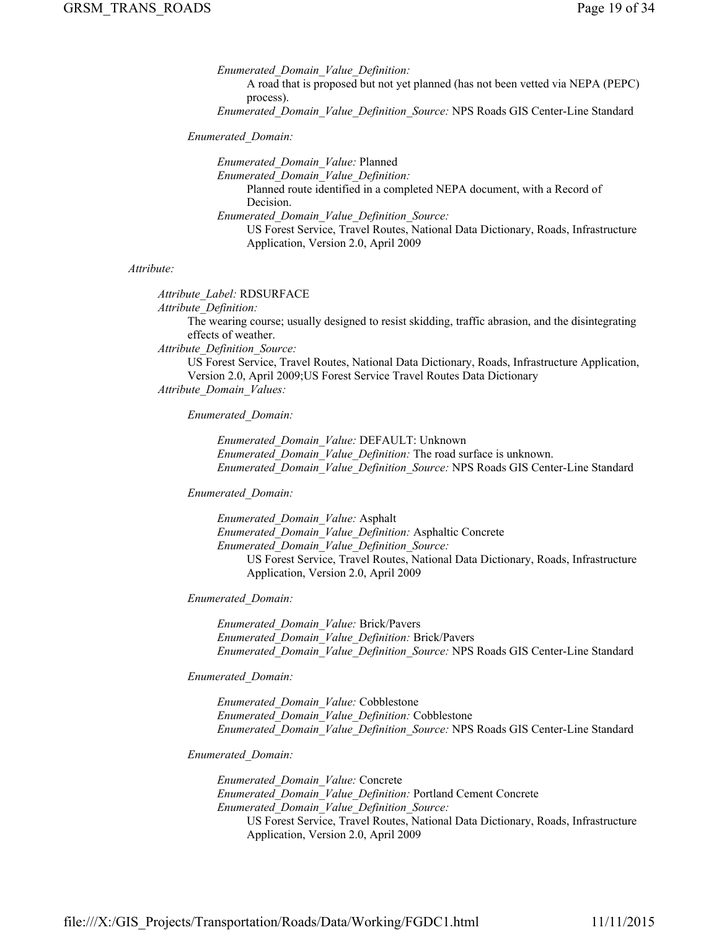*Enumerated\_Domain\_Value\_Definition:* A road that is proposed but not yet planned (has not been vetted via NEPA (PEPC) process).

*Enumerated\_Domain\_Value\_Definition\_Source:* NPS Roads GIS Center-Line Standard

*Enumerated\_Domain:*

*Enumerated\_Domain\_Value:* Planned *Enumerated\_Domain\_Value\_Definition:* Planned route identified in a completed NEPA document, with a Record of Decision. *Enumerated\_Domain\_Value\_Definition\_Source:* US Forest Service, Travel Routes, National Data Dictionary, Roads, Infrastructure Application, Version 2.0, April 2009

#### *Attribute:*

*Attribute\_Label:* RDSURFACE *Attribute\_Definition:* The wearing course; usually designed to resist skidding, traffic abrasion, and the disintegrating effects of weather.

*Attribute\_Definition\_Source:*

US Forest Service, Travel Routes, National Data Dictionary, Roads, Infrastructure Application, Version 2.0, April 2009;US Forest Service Travel Routes Data Dictionary

*Attribute\_Domain\_Values:*

*Enumerated\_Domain:*

*Enumerated\_Domain\_Value:* DEFAULT: Unknown *Enumerated\_Domain\_Value\_Definition:* The road surface is unknown. *Enumerated\_Domain\_Value\_Definition\_Source:* NPS Roads GIS Center-Line Standard

*Enumerated\_Domain:*

*Enumerated\_Domain\_Value:* Asphalt *Enumerated\_Domain\_Value\_Definition:* Asphaltic Concrete *Enumerated\_Domain\_Value\_Definition\_Source:* US Forest Service, Travel Routes, National Data Dictionary, Roads, Infrastructure Application, Version 2.0, April 2009

*Enumerated\_Domain:*

*Enumerated\_Domain\_Value:* Brick/Pavers *Enumerated\_Domain\_Value\_Definition:* Brick/Pavers *Enumerated\_Domain\_Value\_Definition\_Source:* NPS Roads GIS Center-Line Standard

*Enumerated\_Domain:*

*Enumerated\_Domain\_Value:* Cobblestone *Enumerated\_Domain\_Value\_Definition:* Cobblestone *Enumerated\_Domain\_Value\_Definition\_Source:* NPS Roads GIS Center-Line Standard

*Enumerated\_Domain:*

*Enumerated\_Domain\_Value:* Concrete *Enumerated\_Domain\_Value\_Definition:* Portland Cement Concrete *Enumerated\_Domain\_Value\_Definition\_Source:* US Forest Service, Travel Routes, National Data Dictionary, Roads, Infrastructure Application, Version 2.0, April 2009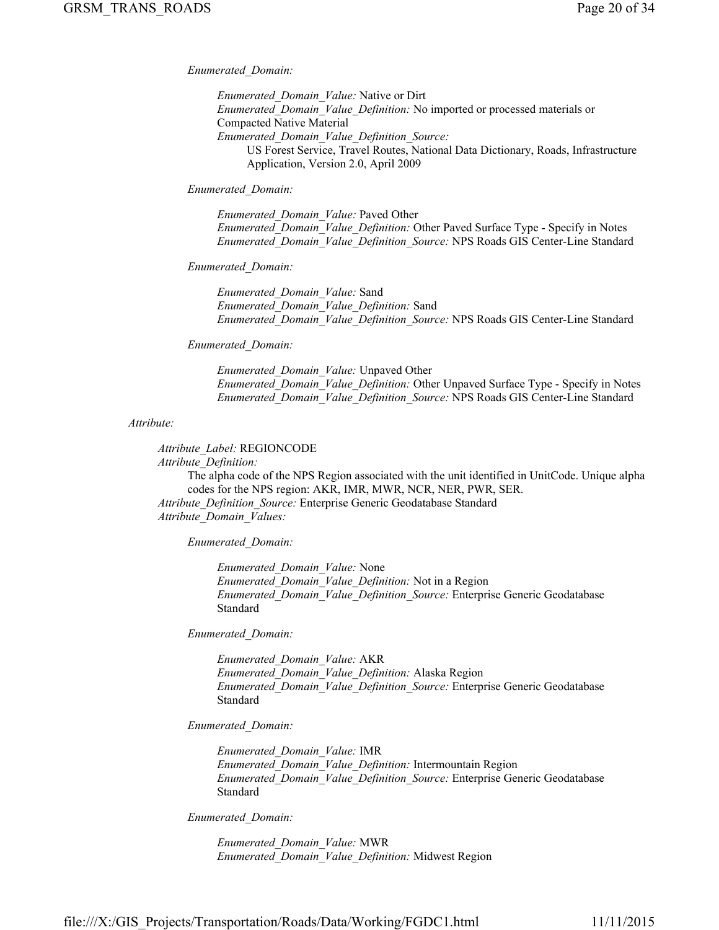*Enumerated\_Domain:*

*Enumerated\_Domain\_Value:* Native or Dirt *Enumerated\_Domain\_Value\_Definition:* No imported or processed materials or Compacted Native Material *Enumerated\_Domain\_Value\_Definition\_Source:* US Forest Service, Travel Routes, National Data Dictionary, Roads, Infrastructure Application, Version 2.0, April 2009

*Enumerated\_Domain:*

*Enumerated\_Domain\_Value:* Paved Other *Enumerated\_Domain\_Value\_Definition:* Other Paved Surface Type - Specify in Notes *Enumerated\_Domain\_Value\_Definition\_Source:* NPS Roads GIS Center-Line Standard

*Enumerated\_Domain:*

*Enumerated\_Domain\_Value:* Sand *Enumerated\_Domain\_Value\_Definition:* Sand *Enumerated\_Domain\_Value\_Definition\_Source:* NPS Roads GIS Center-Line Standard

*Enumerated\_Domain:*

*Enumerated\_Domain\_Value:* Unpaved Other *Enumerated\_Domain\_Value\_Definition:* Other Unpaved Surface Type - Specify in Notes *Enumerated\_Domain\_Value\_Definition\_Source:* NPS Roads GIS Center-Line Standard

*Attribute:*

*Attribute\_Label:* REGIONCODE *Attribute\_Definition:* The alpha code of the NPS Region associated with the unit identified in UnitCode. Unique alpha codes for the NPS region: AKR, IMR, MWR, NCR, NER, PWR, SER. *Attribute\_Definition\_Source:* Enterprise Generic Geodatabase Standard *Attribute\_Domain\_Values:*

*Enumerated\_Domain:*

*Enumerated\_Domain\_Value:* None *Enumerated\_Domain\_Value\_Definition:* Not in a Region *Enumerated\_Domain\_Value\_Definition\_Source:* Enterprise Generic Geodatabase Standard

*Enumerated\_Domain:*

*Enumerated\_Domain\_Value:* AKR *Enumerated\_Domain\_Value\_Definition:* Alaska Region *Enumerated\_Domain\_Value\_Definition\_Source:* Enterprise Generic Geodatabase Standard

*Enumerated\_Domain:*

*Enumerated\_Domain\_Value:* IMR *Enumerated\_Domain\_Value\_Definition:* Intermountain Region *Enumerated\_Domain\_Value\_Definition\_Source:* Enterprise Generic Geodatabase Standard

*Enumerated\_Domain:*

*Enumerated\_Domain\_Value:* MWR *Enumerated\_Domain\_Value\_Definition:* Midwest Region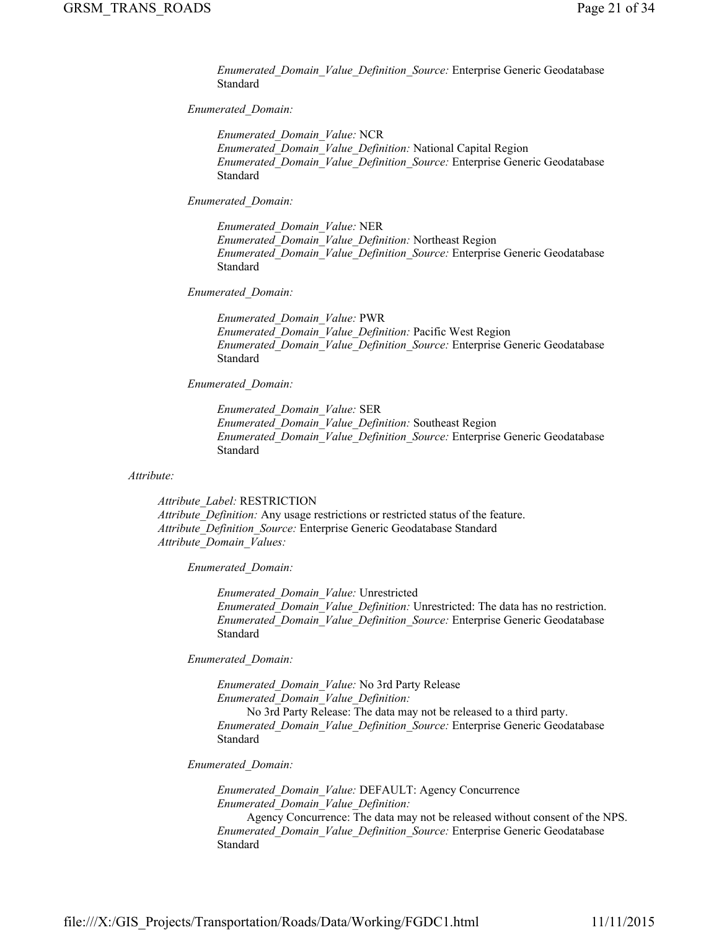*Enumerated\_Domain\_Value\_Definition\_Source:* Enterprise Generic Geodatabase Standard

## *Enumerated\_Domain:*

*Enumerated\_Domain\_Value:* NCR *Enumerated\_Domain\_Value\_Definition:* National Capital Region *Enumerated\_Domain\_Value\_Definition\_Source:* Enterprise Generic Geodatabase Standard

#### *Enumerated\_Domain:*

*Enumerated\_Domain\_Value:* NER *Enumerated\_Domain\_Value\_Definition:* Northeast Region *Enumerated\_Domain\_Value\_Definition\_Source:* Enterprise Generic Geodatabase Standard

## *Enumerated\_Domain:*

*Enumerated\_Domain\_Value:* PWR *Enumerated\_Domain\_Value\_Definition:* Pacific West Region *Enumerated\_Domain\_Value\_Definition\_Source:* Enterprise Generic Geodatabase Standard

## *Enumerated\_Domain:*

*Enumerated\_Domain\_Value:* SER *Enumerated\_Domain\_Value\_Definition:* Southeast Region *Enumerated\_Domain\_Value\_Definition\_Source:* Enterprise Generic Geodatabase Standard

## *Attribute:*

*Attribute\_Label:* RESTRICTION *Attribute\_Definition:* Any usage restrictions or restricted status of the feature. *Attribute\_Definition\_Source:* Enterprise Generic Geodatabase Standard *Attribute\_Domain\_Values:*

*Enumerated\_Domain:*

*Enumerated\_Domain\_Value:* Unrestricted *Enumerated\_Domain\_Value\_Definition:* Unrestricted: The data has no restriction. *Enumerated\_Domain\_Value\_Definition\_Source:* Enterprise Generic Geodatabase Standard

*Enumerated\_Domain:*

*Enumerated\_Domain\_Value:* No 3rd Party Release *Enumerated\_Domain\_Value\_Definition:* No 3rd Party Release: The data may not be released to a third party. *Enumerated\_Domain\_Value\_Definition\_Source:* Enterprise Generic Geodatabase Standard

#### *Enumerated\_Domain:*

*Enumerated\_Domain\_Value:* DEFAULT: Agency Concurrence *Enumerated\_Domain\_Value\_Definition:* Agency Concurrence: The data may not be released without consent of the NPS. *Enumerated\_Domain\_Value\_Definition\_Source:* Enterprise Generic Geodatabase Standard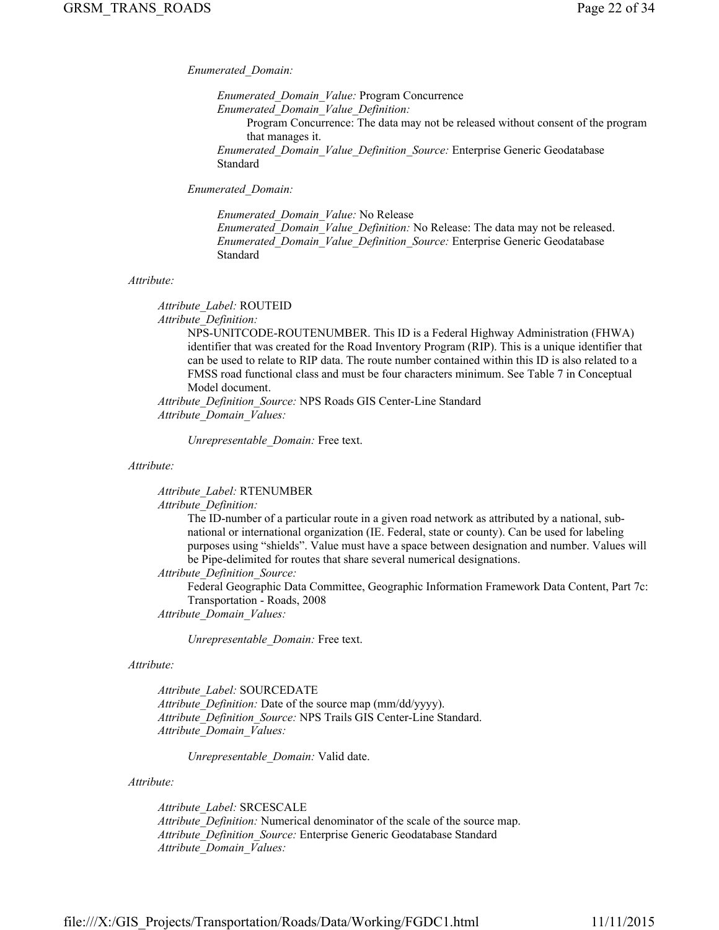#### *Enumerated\_Domain:*

*Enumerated\_Domain\_Value:* Program Concurrence *Enumerated\_Domain\_Value\_Definition:* Program Concurrence: The data may not be released without consent of the program that manages it. *Enumerated\_Domain\_Value\_Definition\_Source:* Enterprise Generic Geodatabase Standard

*Enumerated\_Domain:*

*Enumerated\_Domain\_Value:* No Release *Enumerated\_Domain\_Value\_Definition:* No Release: The data may not be released. *Enumerated\_Domain\_Value\_Definition\_Source:* Enterprise Generic Geodatabase Standard

## *Attribute:*

*Attribute\_Label:* ROUTEID

*Attribute\_Definition:*

NPS-UNITCODE-ROUTENUMBER. This ID is a Federal Highway Administration (FHWA) identifier that was created for the Road Inventory Program (RIP). This is a unique identifier that can be used to relate to RIP data. The route number contained within this ID is also related to a FMSS road functional class and must be four characters minimum. See Table 7 in Conceptual Model document.

*Attribute\_Definition\_Source:* NPS Roads GIS Center-Line Standard *Attribute\_Domain\_Values:*

*Unrepresentable\_Domain:* Free text.

*Attribute:*

*Attribute\_Label:* RTENUMBER

*Attribute\_Definition:*

The ID-number of a particular route in a given road network as attributed by a national, subnational or international organization (IE. Federal, state or county). Can be used for labeling purposes using "shields". Value must have a space between designation and number. Values will be Pipe-delimited for routes that share several numerical designations.

*Attribute\_Definition\_Source:*

Federal Geographic Data Committee, Geographic Information Framework Data Content, Part 7c: Transportation - Roads, 2008

*Attribute\_Domain\_Values:*

*Unrepresentable\_Domain:* Free text.

## *Attribute:*

*Attribute\_Label:* SOURCEDATE *Attribute\_Definition:* Date of the source map (mm/dd/yyyy). *Attribute\_Definition\_Source:* NPS Trails GIS Center-Line Standard. *Attribute\_Domain\_Values:*

*Unrepresentable\_Domain:* Valid date.

## *Attribute:*

*Attribute\_Label:* SRCESCALE *Attribute\_Definition:* Numerical denominator of the scale of the source map. *Attribute\_Definition\_Source:* Enterprise Generic Geodatabase Standard *Attribute\_Domain\_Values:*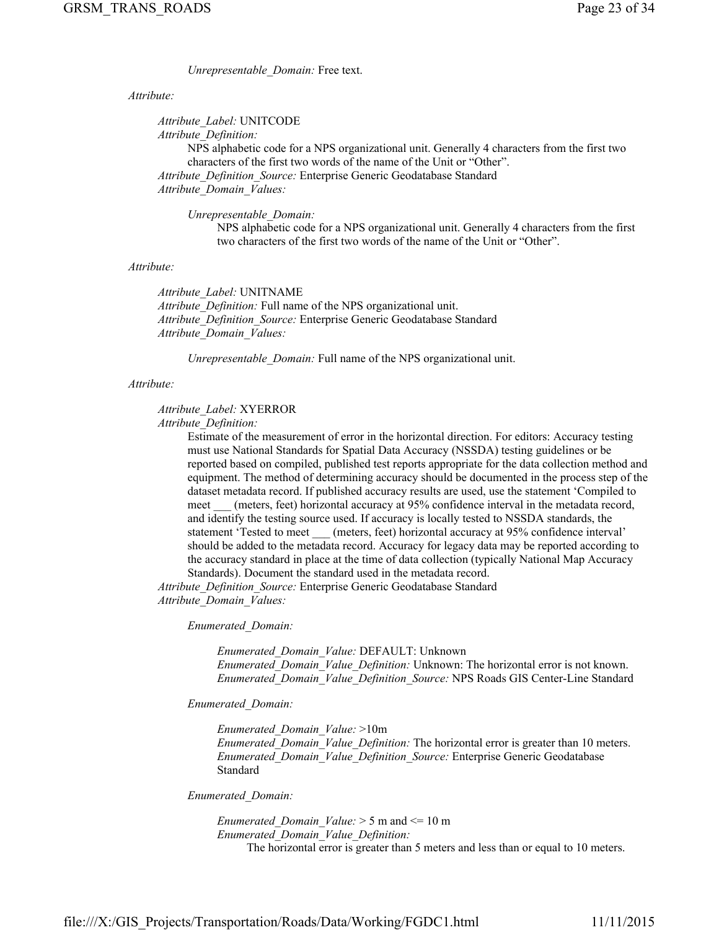*Unrepresentable\_Domain:* Free text.

## *Attribute:*

*Attribute\_Label:* UNITCODE

*Attribute\_Definition:*

NPS alphabetic code for a NPS organizational unit. Generally 4 characters from the first two characters of the first two words of the name of the Unit or "Other". *Attribute\_Definition\_Source:* Enterprise Generic Geodatabase Standard *Attribute\_Domain\_Values:*

*Unrepresentable\_Domain:*

NPS alphabetic code for a NPS organizational unit. Generally 4 characters from the first two characters of the first two words of the name of the Unit or "Other".

#### *Attribute:*

*Attribute\_Label:* UNITNAME *Attribute\_Definition:* Full name of the NPS organizational unit. *Attribute\_Definition\_Source:* Enterprise Generic Geodatabase Standard *Attribute\_Domain\_Values:*

*Unrepresentable\_Domain:* Full name of the NPS organizational unit.

#### *Attribute:*

## *Attribute\_Label:* XYERROR

*Attribute\_Definition:*

Estimate of the measurement of error in the horizontal direction. For editors: Accuracy testing must use National Standards for Spatial Data Accuracy (NSSDA) testing guidelines or be reported based on compiled, published test reports appropriate for the data collection method and equipment. The method of determining accuracy should be documented in the process step of the dataset metadata record. If published accuracy results are used, use the statement 'Compiled to meet (meters, feet) horizontal accuracy at 95% confidence interval in the metadata record, and identify the testing source used. If accuracy is locally tested to NSSDA standards, the statement 'Tested to meet (meters, feet) horizontal accuracy at 95% confidence interval' should be added to the metadata record. Accuracy for legacy data may be reported according to the accuracy standard in place at the time of data collection (typically National Map Accuracy Standards). Document the standard used in the metadata record.

*Attribute\_Definition\_Source:* Enterprise Generic Geodatabase Standard *Attribute\_Domain\_Values:*

*Enumerated\_Domain:*

*Enumerated\_Domain\_Value:* DEFAULT: Unknown *Enumerated\_Domain\_Value\_Definition:* Unknown: The horizontal error is not known. *Enumerated\_Domain\_Value\_Definition\_Source:* NPS Roads GIS Center-Line Standard

#### *Enumerated\_Domain:*

*Enumerated\_Domain\_Value:* >10m *Enumerated\_Domain\_Value\_Definition:* The horizontal error is greater than 10 meters. *Enumerated\_Domain\_Value\_Definition\_Source:* Enterprise Generic Geodatabase Standard

*Enumerated\_Domain:*

*Enumerated\_Domain\_Value:* > 5 m and <= 10 m *Enumerated\_Domain\_Value\_Definition:* The horizontal error is greater than 5 meters and less than or equal to 10 meters.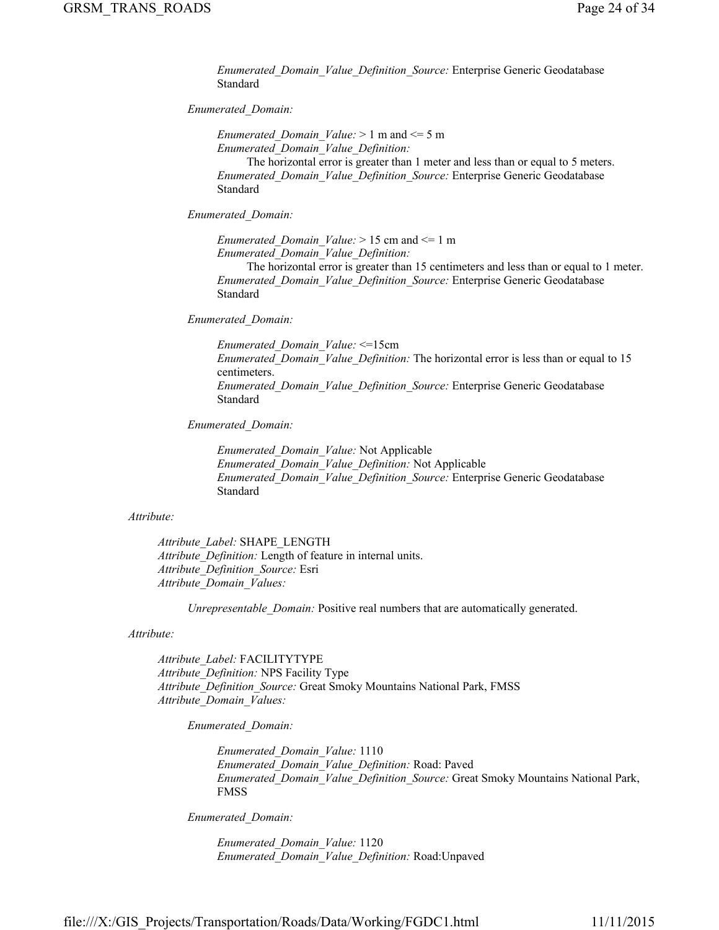*Enumerated\_Domain\_Value\_Definition\_Source:* Enterprise Generic Geodatabase Standard

## *Enumerated\_Domain:*

*Enumerated\_Domain\_Value:* > 1 m and <= 5 m *Enumerated\_Domain\_Value\_Definition:*

The horizontal error is greater than 1 meter and less than or equal to 5 meters. *Enumerated\_Domain\_Value\_Definition\_Source:* Enterprise Generic Geodatabase Standard

*Enumerated\_Domain:*

*Enumerated\_Domain\_Value:* > 15 cm and <= 1 m *Enumerated\_Domain\_Value\_Definition:*

The horizontal error is greater than 15 centimeters and less than or equal to 1 meter. *Enumerated\_Domain\_Value\_Definition\_Source:* Enterprise Generic Geodatabase Standard

*Enumerated\_Domain:*

*Enumerated\_Domain\_Value:* <=15cm *Enumerated\_Domain\_Value\_Definition:* The horizontal error is less than or equal to 15 centimeters. *Enumerated\_Domain\_Value\_Definition\_Source:* Enterprise Generic Geodatabase Standard

*Enumerated\_Domain:*

*Enumerated\_Domain\_Value:* Not Applicable *Enumerated\_Domain\_Value\_Definition:* Not Applicable *Enumerated\_Domain\_Value\_Definition\_Source:* Enterprise Generic Geodatabase Standard

## *Attribute:*

*Attribute\_Label:* SHAPE\_LENGTH *Attribute\_Definition:* Length of feature in internal units. *Attribute\_Definition\_Source:* Esri *Attribute\_Domain\_Values:*

*Unrepresentable Domain:* Positive real numbers that are automatically generated.

#### *Attribute:*

*Attribute\_Label:* FACILITYTYPE *Attribute\_Definition:* NPS Facility Type *Attribute\_Definition\_Source:* Great Smoky Mountains National Park, FMSS *Attribute\_Domain\_Values:*

*Enumerated\_Domain:*

*Enumerated\_Domain\_Value:* 1110 *Enumerated\_Domain\_Value\_Definition:* Road: Paved *Enumerated\_Domain\_Value\_Definition\_Source:* Great Smoky Mountains National Park, FMSS

*Enumerated\_Domain:*

*Enumerated\_Domain\_Value:* 1120 *Enumerated\_Domain\_Value\_Definition:* Road:Unpaved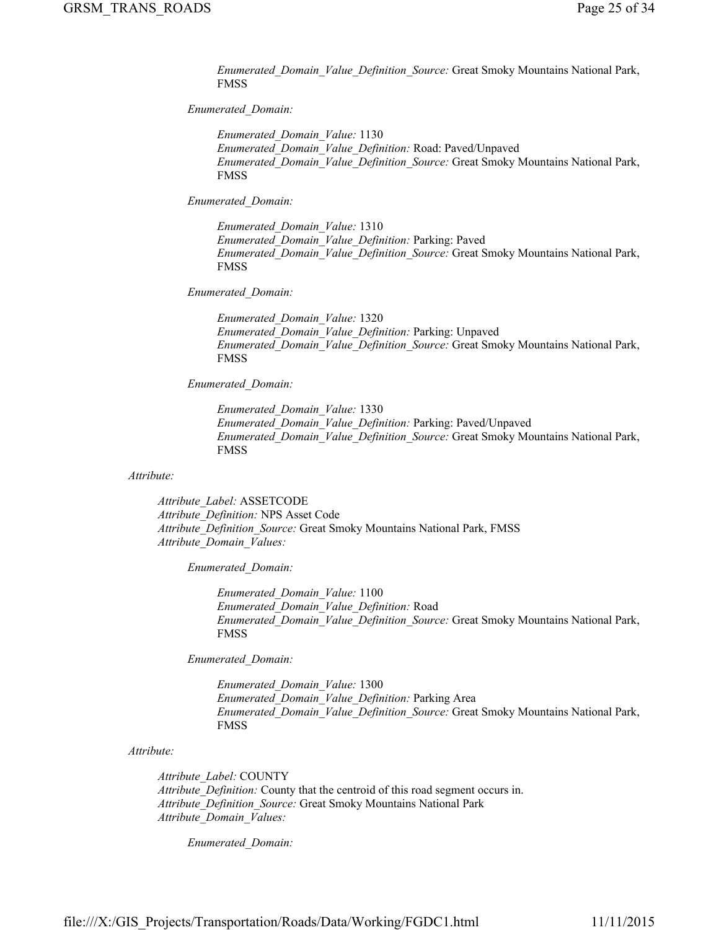*Enumerated\_Domain\_Value\_Definition\_Source:* Great Smoky Mountains National Park, FMSS

## *Enumerated\_Domain:*

*Enumerated\_Domain\_Value:* 1130 *Enumerated\_Domain\_Value\_Definition:* Road: Paved/Unpaved *Enumerated\_Domain\_Value\_Definition\_Source:* Great Smoky Mountains National Park, FMSS

*Enumerated\_Domain:*

*Enumerated\_Domain\_Value:* 1310 *Enumerated\_Domain\_Value\_Definition:* Parking: Paved *Enumerated\_Domain\_Value\_Definition\_Source:* Great Smoky Mountains National Park, FMSS

*Enumerated\_Domain:*

*Enumerated\_Domain\_Value:* 1320 *Enumerated\_Domain\_Value\_Definition:* Parking: Unpaved *Enumerated\_Domain\_Value\_Definition\_Source:* Great Smoky Mountains National Park, FMSS

*Enumerated\_Domain:*

*Enumerated\_Domain\_Value:* 1330 *Enumerated\_Domain\_Value\_Definition:* Parking: Paved/Unpaved *Enumerated\_Domain\_Value\_Definition\_Source:* Great Smoky Mountains National Park, FMSS

*Attribute:*

*Attribute\_Label:* ASSETCODE *Attribute\_Definition:* NPS Asset Code *Attribute\_Definition\_Source:* Great Smoky Mountains National Park, FMSS *Attribute\_Domain\_Values:*

*Enumerated\_Domain:*

*Enumerated\_Domain\_Value:* 1100 *Enumerated\_Domain\_Value\_Definition:* Road *Enumerated\_Domain\_Value\_Definition\_Source:* Great Smoky Mountains National Park, FMSS

*Enumerated\_Domain:*

*Enumerated\_Domain\_Value:* 1300 *Enumerated\_Domain\_Value\_Definition:* Parking Area *Enumerated\_Domain\_Value\_Definition\_Source:* Great Smoky Mountains National Park, FMSS

## *Attribute:*

*Attribute\_Label:* COUNTY *Attribute\_Definition:* County that the centroid of this road segment occurs in. *Attribute\_Definition\_Source:* Great Smoky Mountains National Park *Attribute\_Domain\_Values:*

*Enumerated\_Domain:*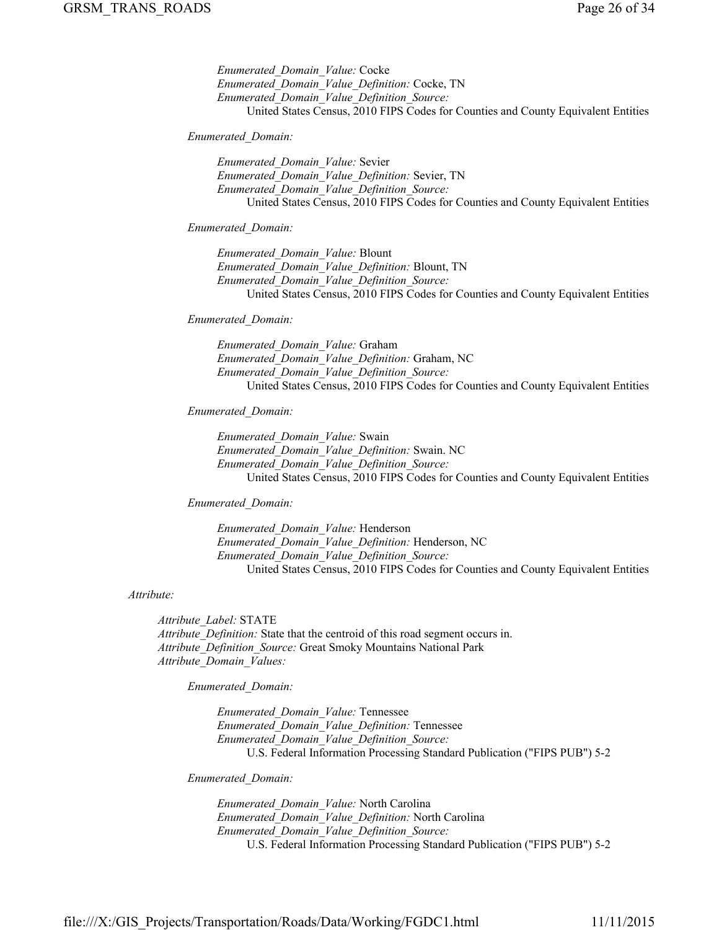*Enumerated\_Domain\_Value:* Cocke *Enumerated\_Domain\_Value\_Definition:* Cocke, TN *Enumerated\_Domain\_Value\_Definition\_Source:* United States Census, 2010 FIPS Codes for Counties and County Equivalent Entities

*Enumerated\_Domain:*

*Enumerated\_Domain\_Value:* Sevier *Enumerated\_Domain\_Value\_Definition:* Sevier, TN *Enumerated\_Domain\_Value\_Definition\_Source:* United States Census, 2010 FIPS Codes for Counties and County Equivalent Entities

*Enumerated\_Domain:*

*Enumerated\_Domain\_Value:* Blount *Enumerated\_Domain\_Value\_Definition:* Blount, TN *Enumerated\_Domain\_Value\_Definition\_Source:* United States Census, 2010 FIPS Codes for Counties and County Equivalent Entities

#### *Enumerated\_Domain:*

*Enumerated\_Domain\_Value:* Graham *Enumerated\_Domain\_Value\_Definition:* Graham, NC *Enumerated\_Domain\_Value\_Definition\_Source:* United States Census, 2010 FIPS Codes for Counties and County Equivalent Entities

*Enumerated\_Domain:*

*Enumerated\_Domain\_Value:* Swain *Enumerated\_Domain\_Value\_Definition:* Swain. NC *Enumerated\_Domain\_Value\_Definition\_Source:* United States Census, 2010 FIPS Codes for Counties and County Equivalent Entities

*Enumerated\_Domain:*

*Enumerated\_Domain\_Value:* Henderson *Enumerated\_Domain\_Value\_Definition:* Henderson, NC *Enumerated\_Domain\_Value\_Definition\_Source:* United States Census, 2010 FIPS Codes for Counties and County Equivalent Entities

*Attribute:*

*Attribute\_Label:* STATE *Attribute\_Definition:* State that the centroid of this road segment occurs in. *Attribute\_Definition\_Source:* Great Smoky Mountains National Park *Attribute\_Domain\_Values:*

*Enumerated\_Domain:*

*Enumerated\_Domain\_Value:* Tennessee *Enumerated\_Domain\_Value\_Definition:* Tennessee *Enumerated\_Domain\_Value\_Definition\_Source:* U.S. Federal Information Processing Standard Publication ("FIPS PUB") 5-2

*Enumerated\_Domain:*

*Enumerated\_Domain\_Value:* North Carolina *Enumerated\_Domain\_Value\_Definition:* North Carolina *Enumerated\_Domain\_Value\_Definition\_Source:* U.S. Federal Information Processing Standard Publication ("FIPS PUB") 5-2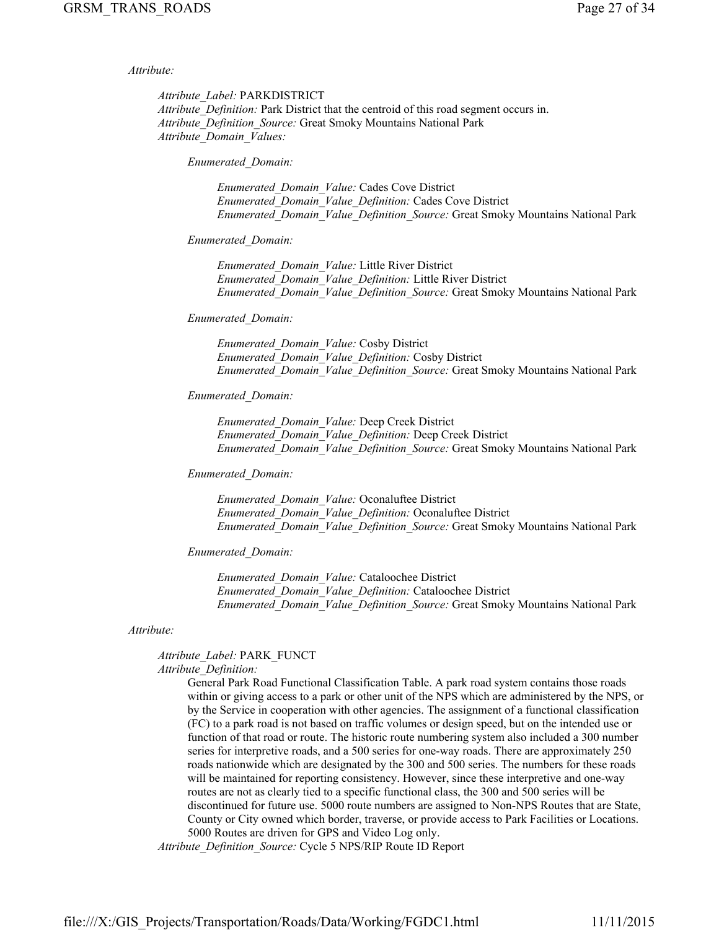*Attribute:*

*Attribute\_Label:* PARKDISTRICT *Attribute\_Definition:* Park District that the centroid of this road segment occurs in. *Attribute\_Definition\_Source:* Great Smoky Mountains National Park *Attribute\_Domain\_Values:*

*Enumerated\_Domain:*

*Enumerated\_Domain\_Value:* Cades Cove District *Enumerated\_Domain\_Value\_Definition:* Cades Cove District *Enumerated\_Domain\_Value\_Definition\_Source:* Great Smoky Mountains National Park

## *Enumerated\_Domain:*

*Enumerated\_Domain\_Value:* Little River District *Enumerated\_Domain\_Value\_Definition:* Little River District *Enumerated\_Domain\_Value\_Definition\_Source:* Great Smoky Mountains National Park

#### *Enumerated\_Domain:*

*Enumerated\_Domain\_Value:* Cosby District *Enumerated\_Domain\_Value\_Definition:* Cosby District *Enumerated\_Domain\_Value\_Definition\_Source:* Great Smoky Mountains National Park

#### *Enumerated\_Domain:*

*Enumerated\_Domain\_Value:* Deep Creek District *Enumerated\_Domain\_Value\_Definition:* Deep Creek District *Enumerated\_Domain\_Value\_Definition\_Source:* Great Smoky Mountains National Park

## *Enumerated\_Domain:*

*Enumerated\_Domain\_Value:* Oconaluftee District *Enumerated\_Domain\_Value\_Definition:* Oconaluftee District *Enumerated\_Domain\_Value\_Definition\_Source:* Great Smoky Mountains National Park

#### *Enumerated\_Domain:*

*Enumerated\_Domain\_Value:* Cataloochee District *Enumerated\_Domain\_Value\_Definition:* Cataloochee District *Enumerated\_Domain\_Value\_Definition\_Source:* Great Smoky Mountains National Park

#### *Attribute:*

#### *Attribute\_Label:* PARK\_FUNCT *Attribute\_Definition:*

General Park Road Functional Classification Table. A park road system contains those roads within or giving access to a park or other unit of the NPS which are administered by the NPS, or by the Service in cooperation with other agencies. The assignment of a functional classification (FC) to a park road is not based on traffic volumes or design speed, but on the intended use or function of that road or route. The historic route numbering system also included a 300 number series for interpretive roads, and a 500 series for one-way roads. There are approximately 250 roads nationwide which are designated by the 300 and 500 series. The numbers for these roads will be maintained for reporting consistency. However, since these interpretive and one-way routes are not as clearly tied to a specific functional class, the 300 and 500 series will be discontinued for future use. 5000 route numbers are assigned to Non-NPS Routes that are State, County or City owned which border, traverse, or provide access to Park Facilities or Locations. 5000 Routes are driven for GPS and Video Log only.

*Attribute\_Definition\_Source:* Cycle 5 NPS/RIP Route ID Report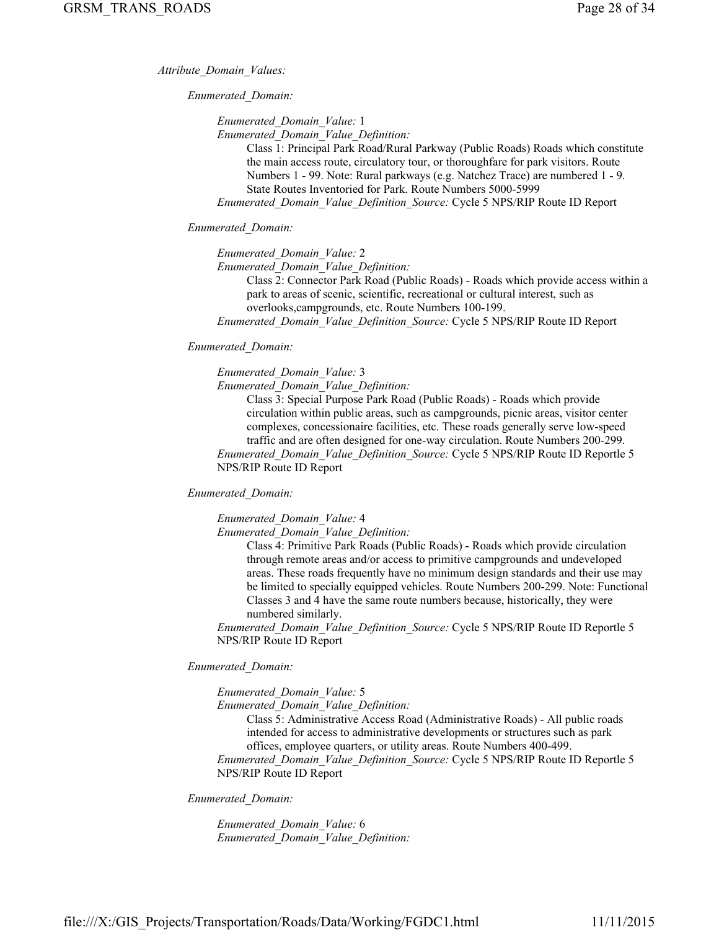*Attribute\_Domain\_Values:*

*Enumerated\_Domain:*

*Enumerated\_Domain\_Value:* 1

*Enumerated\_Domain\_Value\_Definition:*

Class 1: Principal Park Road/Rural Parkway (Public Roads) Roads which constitute the main access route, circulatory tour, or thoroughfare for park visitors. Route Numbers 1 - 99. Note: Rural parkways (e.g. Natchez Trace) are numbered 1 - 9. State Routes Inventoried for Park. Route Numbers 5000-5999 *Enumerated\_Domain\_Value\_Definition\_Source:* Cycle 5 NPS/RIP Route ID Report

*Enumerated\_Domain:*

*Enumerated\_Domain\_Value:* 2

*Enumerated\_Domain\_Value\_Definition:*

Class 2: Connector Park Road (Public Roads) - Roads which provide access within a park to areas of scenic, scientific, recreational or cultural interest, such as overlooks,campgrounds, etc. Route Numbers 100-199.

*Enumerated\_Domain\_Value\_Definition\_Source:* Cycle 5 NPS/RIP Route ID Report

## *Enumerated\_Domain:*

*Enumerated\_Domain\_Value:* 3

*Enumerated\_Domain\_Value\_Definition:*

Class 3: Special Purpose Park Road (Public Roads) - Roads which provide circulation within public areas, such as campgrounds, picnic areas, visitor center complexes, concessionaire facilities, etc. These roads generally serve low-speed traffic and are often designed for one-way circulation. Route Numbers 200-299. *Enumerated\_Domain\_Value\_Definition\_Source:* Cycle 5 NPS/RIP Route ID Reportle 5

## *Enumerated\_Domain:*

*Enumerated\_Domain\_Value:* 4

NPS/RIP Route ID Report

*Enumerated\_Domain\_Value\_Definition:*

Class 4: Primitive Park Roads (Public Roads) - Roads which provide circulation through remote areas and/or access to primitive campgrounds and undeveloped areas. These roads frequently have no minimum design standards and their use may be limited to specially equipped vehicles. Route Numbers 200-299. Note: Functional Classes 3 and 4 have the same route numbers because, historically, they were numbered similarly.

*Enumerated\_Domain\_Value\_Definition\_Source:* Cycle 5 NPS/RIP Route ID Reportle 5 NPS/RIP Route ID Report

## *Enumerated\_Domain:*

*Enumerated\_Domain\_Value:* 5

*Enumerated\_Domain\_Value\_Definition:*

Class 5: Administrative Access Road (Administrative Roads) - All public roads intended for access to administrative developments or structures such as park offices, employee quarters, or utility areas. Route Numbers 400-499.

*Enumerated\_Domain\_Value\_Definition\_Source:* Cycle 5 NPS/RIP Route ID Reportle 5 NPS/RIP Route ID Report

*Enumerated\_Domain:*

*Enumerated\_Domain\_Value:* 6 *Enumerated\_Domain\_Value\_Definition:*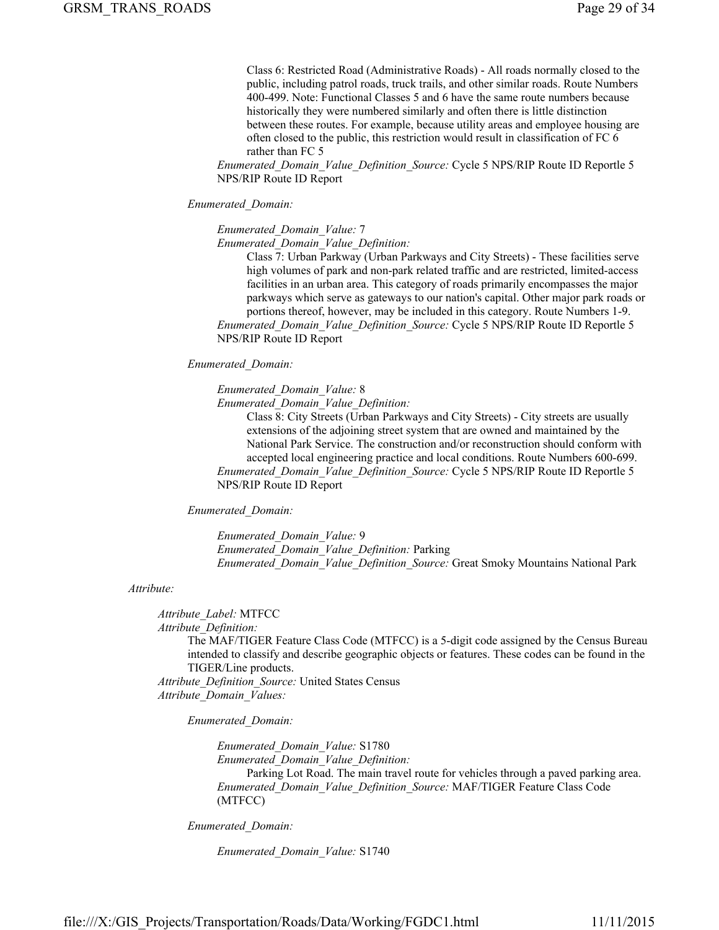Class 6: Restricted Road (Administrative Roads) - All roads normally closed to the public, including patrol roads, truck trails, and other similar roads. Route Numbers 400-499. Note: Functional Classes 5 and 6 have the same route numbers because historically they were numbered similarly and often there is little distinction between these routes. For example, because utility areas and employee housing are often closed to the public, this restriction would result in classification of FC 6 rather than FC 5

*Enumerated\_Domain\_Value\_Definition\_Source:* Cycle 5 NPS/RIP Route ID Reportle 5 NPS/RIP Route ID Report

#### *Enumerated\_Domain:*

*Enumerated\_Domain\_Value:* 7

*Enumerated\_Domain\_Value\_Definition:*

Class 7: Urban Parkway (Urban Parkways and City Streets) - These facilities serve high volumes of park and non-park related traffic and are restricted, limited-access facilities in an urban area. This category of roads primarily encompasses the major parkways which serve as gateways to our nation's capital. Other major park roads or portions thereof, however, may be included in this category. Route Numbers 1-9. *Enumerated\_Domain\_Value\_Definition\_Source:* Cycle 5 NPS/RIP Route ID Reportle 5

NPS/RIP Route ID Report

## *Enumerated\_Domain:*

*Enumerated\_Domain\_Value:* 8

*Enumerated\_Domain\_Value\_Definition:*

Class 8: City Streets (Urban Parkways and City Streets) - City streets are usually extensions of the adjoining street system that are owned and maintained by the National Park Service. The construction and/or reconstruction should conform with accepted local engineering practice and local conditions. Route Numbers 600-699. *Enumerated\_Domain\_Value\_Definition\_Source:* Cycle 5 NPS/RIP Route ID Reportle 5 NPS/RIP Route ID Report

*Enumerated\_Domain:*

*Enumerated\_Domain\_Value:* 9 *Enumerated\_Domain\_Value\_Definition:* Parking *Enumerated\_Domain\_Value\_Definition\_Source:* Great Smoky Mountains National Park

#### *Attribute:*

*Attribute\_Label:* MTFCC *Attribute\_Definition:* The MAF/TIGER Feature Class Code (MTFCC) is a 5-digit code assigned by the Census Bureau intended to classify and describe geographic objects or features. These codes can be found in the TIGER/Line products. *Attribute\_Definition\_Source:* United States Census

*Attribute\_Domain\_Values:*

*Enumerated\_Domain:*

*Enumerated\_Domain\_Value:* S1780 *Enumerated\_Domain\_Value\_Definition:* Parking Lot Road. The main travel route for vehicles through a paved parking area. *Enumerated\_Domain\_Value\_Definition\_Source:* MAF/TIGER Feature Class Code (MTFCC)

*Enumerated\_Domain:*

*Enumerated\_Domain\_Value:* S1740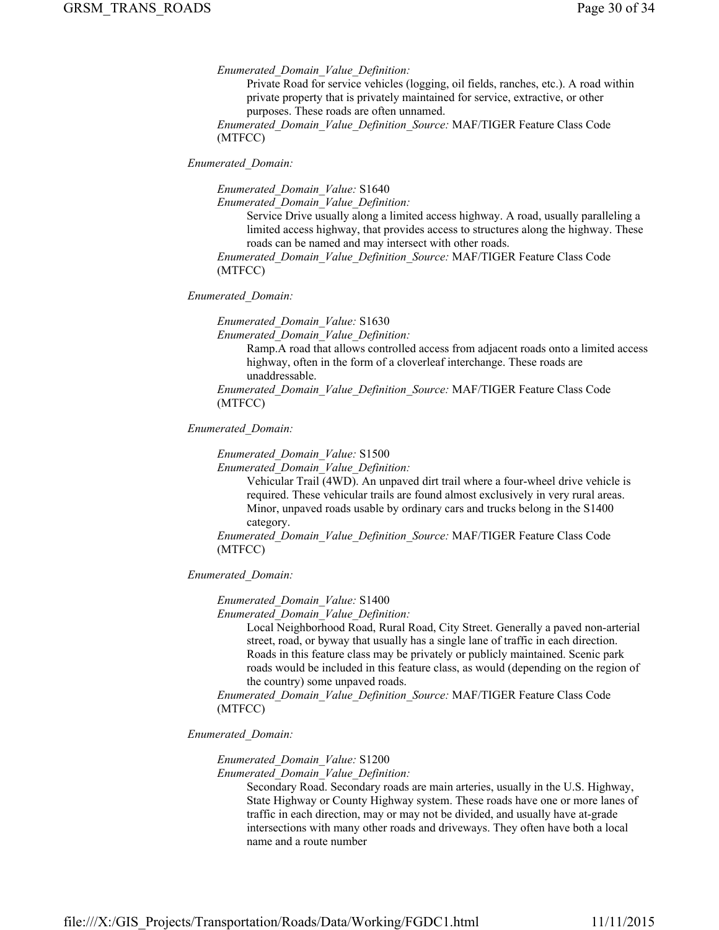*Enumerated\_Domain\_Value\_Definition:*

Private Road for service vehicles (logging, oil fields, ranches, etc.). A road within private property that is privately maintained for service, extractive, or other purposes. These roads are often unnamed.

*Enumerated\_Domain\_Value\_Definition\_Source:* MAF/TIGER Feature Class Code (MTFCC)

*Enumerated\_Domain:*

*Enumerated\_Domain\_Value:* S1640

*Enumerated\_Domain\_Value\_Definition:*

Service Drive usually along a limited access highway. A road, usually paralleling a limited access highway, that provides access to structures along the highway. These roads can be named and may intersect with other roads.

*Enumerated\_Domain\_Value\_Definition\_Source:* MAF/TIGER Feature Class Code (MTFCC)

#### *Enumerated\_Domain:*

*Enumerated\_Domain\_Value:* S1630

*Enumerated\_Domain\_Value\_Definition:*

Ramp.A road that allows controlled access from adjacent roads onto a limited access highway, often in the form of a cloverleaf interchange. These roads are unaddressable.

*Enumerated\_Domain\_Value\_Definition\_Source:* MAF/TIGER Feature Class Code (MTFCC)

*Enumerated\_Domain:*

*Enumerated\_Domain\_Value:* S1500

*Enumerated\_Domain\_Value\_Definition:*

Vehicular Trail (4WD). An unpaved dirt trail where a four-wheel drive vehicle is required. These vehicular trails are found almost exclusively in very rural areas. Minor, unpaved roads usable by ordinary cars and trucks belong in the S1400 category.

*Enumerated\_Domain\_Value\_Definition\_Source:* MAF/TIGER Feature Class Code (MTFCC)

## *Enumerated\_Domain:*

*Enumerated\_Domain\_Value:* S1400

*Enumerated\_Domain\_Value\_Definition:*

Local Neighborhood Road, Rural Road, City Street. Generally a paved non-arterial street, road, or byway that usually has a single lane of traffic in each direction. Roads in this feature class may be privately or publicly maintained. Scenic park roads would be included in this feature class, as would (depending on the region of the country) some unpaved roads.

*Enumerated\_Domain\_Value\_Definition\_Source:* MAF/TIGER Feature Class Code (MTFCC)

*Enumerated\_Domain:*

*Enumerated\_Domain\_Value:* S1200

*Enumerated\_Domain\_Value\_Definition:*

Secondary Road. Secondary roads are main arteries, usually in the U.S. Highway, State Highway or County Highway system. These roads have one or more lanes of traffic in each direction, may or may not be divided, and usually have at-grade intersections with many other roads and driveways. They often have both a local name and a route number

file:///X:/GIS\_Projects/Transportation/Roads/Data/Working/FGDC1.html 11/11/2015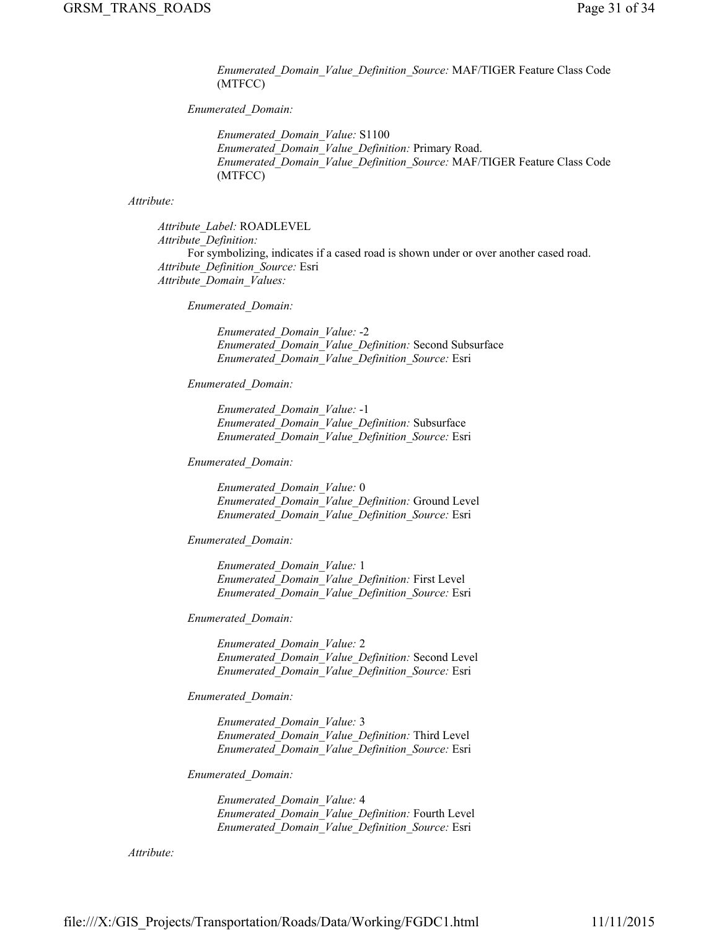*Enumerated\_Domain\_Value\_Definition\_Source:* MAF/TIGER Feature Class Code (MTFCC)

## *Enumerated\_Domain:*

*Enumerated\_Domain\_Value:* S1100 *Enumerated\_Domain\_Value\_Definition:* Primary Road. *Enumerated\_Domain\_Value\_Definition\_Source:* MAF/TIGER Feature Class Code (MTFCC)

## *Attribute:*

*Attribute\_Label:* ROADLEVEL *Attribute\_Definition:* For symbolizing, indicates if a cased road is shown under or over another cased road. *Attribute\_Definition\_Source:* Esri *Attribute\_Domain\_Values:*

*Enumerated\_Domain:*

*Enumerated\_Domain\_Value:* -2 *Enumerated\_Domain\_Value\_Definition:* Second Subsurface *Enumerated\_Domain\_Value\_Definition\_Source:* Esri

*Enumerated\_Domain:*

*Enumerated\_Domain\_Value:* -1 *Enumerated\_Domain\_Value\_Definition:* Subsurface *Enumerated\_Domain\_Value\_Definition\_Source:* Esri

*Enumerated\_Domain:*

*Enumerated\_Domain\_Value:* 0 *Enumerated\_Domain\_Value\_Definition:* Ground Level *Enumerated\_Domain\_Value\_Definition\_Source:* Esri

*Enumerated\_Domain:*

*Enumerated\_Domain\_Value:* 1 *Enumerated\_Domain\_Value\_Definition:* First Level *Enumerated\_Domain\_Value\_Definition\_Source:* Esri

*Enumerated\_Domain:*

*Enumerated\_Domain\_Value:* 2 *Enumerated\_Domain\_Value\_Definition:* Second Level *Enumerated\_Domain\_Value\_Definition\_Source:* Esri

*Enumerated\_Domain:*

*Enumerated\_Domain\_Value:* 3 *Enumerated\_Domain\_Value\_Definition:* Third Level *Enumerated\_Domain\_Value\_Definition\_Source:* Esri

*Enumerated\_Domain:*

*Enumerated\_Domain\_Value:* 4 *Enumerated\_Domain\_Value\_Definition:* Fourth Level *Enumerated\_Domain\_Value\_Definition\_Source:* Esri

*Attribute:*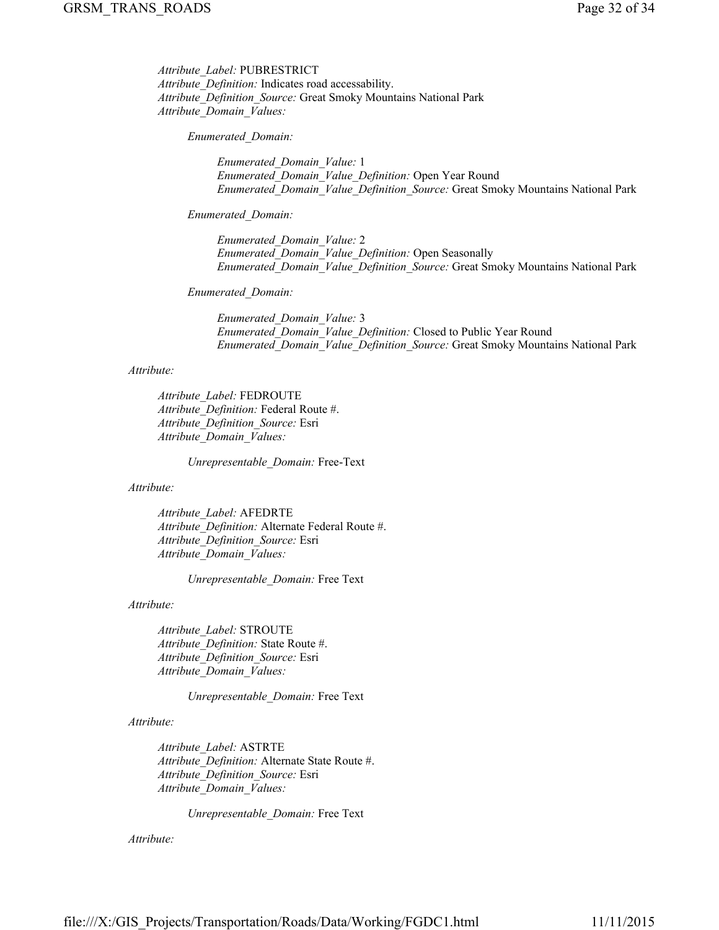*Attribute\_Label:* PUBRESTRICT *Attribute\_Definition:* Indicates road accessability. *Attribute\_Definition\_Source:* Great Smoky Mountains National Park *Attribute\_Domain\_Values:*

*Enumerated\_Domain:*

*Enumerated\_Domain\_Value:* 1 *Enumerated\_Domain\_Value\_Definition:* Open Year Round *Enumerated\_Domain\_Value\_Definition\_Source:* Great Smoky Mountains National Park

*Enumerated\_Domain:*

*Enumerated\_Domain\_Value:* 2 *Enumerated\_Domain\_Value\_Definition:* Open Seasonally *Enumerated\_Domain\_Value\_Definition\_Source:* Great Smoky Mountains National Park

*Enumerated\_Domain:*

*Enumerated\_Domain\_Value:* 3 *Enumerated\_Domain\_Value\_Definition:* Closed to Public Year Round *Enumerated\_Domain\_Value\_Definition\_Source:* Great Smoky Mountains National Park

#### *Attribute:*

*Attribute\_Label:* FEDROUTE *Attribute\_Definition:* Federal Route #. *Attribute\_Definition\_Source:* Esri *Attribute\_Domain\_Values:*

*Unrepresentable\_Domain:* Free-Text

*Attribute:*

*Attribute\_Label:* AFEDRTE *Attribute\_Definition:* Alternate Federal Route #. *Attribute\_Definition\_Source:* Esri *Attribute\_Domain\_Values:*

*Unrepresentable\_Domain:* Free Text

*Attribute:*

*Attribute\_Label:* STROUTE *Attribute\_Definition:* State Route #. *Attribute\_Definition\_Source:* Esri *Attribute\_Domain\_Values:*

*Unrepresentable\_Domain:* Free Text

*Attribute:*

*Attribute\_Label:* ASTRTE *Attribute\_Definition:* Alternate State Route #. *Attribute\_Definition\_Source:* Esri *Attribute\_Domain\_Values:*

*Unrepresentable\_Domain:* Free Text

*Attribute:*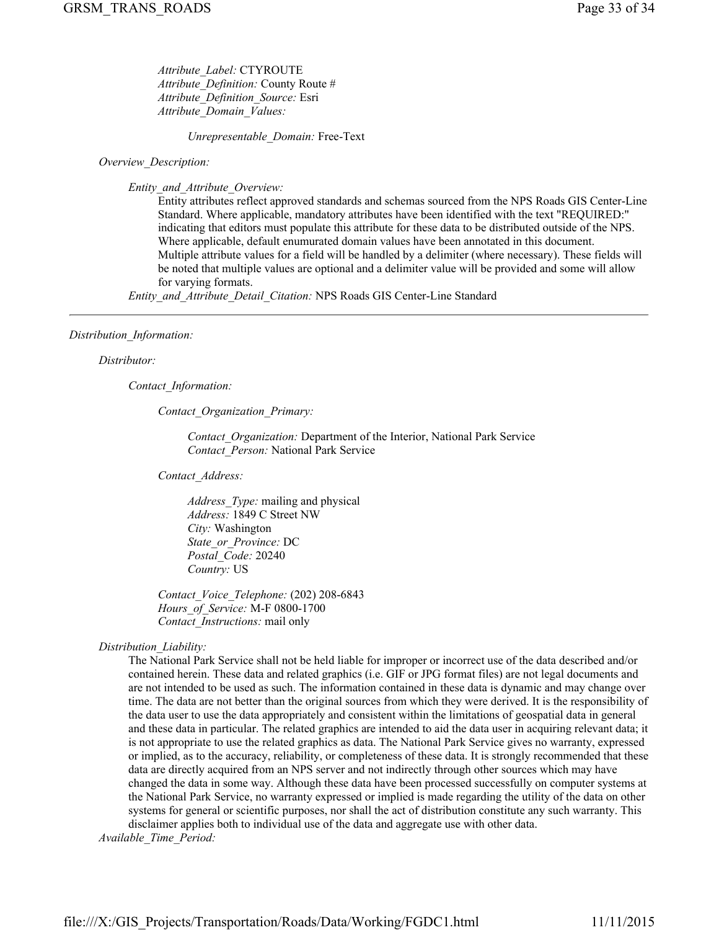*Attribute\_Label:* CTYROUTE *Attribute\_Definition:* County Route # *Attribute\_Definition\_Source:* Esri *Attribute\_Domain\_Values:*

*Unrepresentable\_Domain:* Free-Text

*Overview\_Description:*

*Entity\_and\_Attribute\_Overview:*

Entity attributes reflect approved standards and schemas sourced from the NPS Roads GIS Center-Line Standard. Where applicable, mandatory attributes have been identified with the text "REQUIRED:" indicating that editors must populate this attribute for these data to be distributed outside of the NPS. Where applicable, default enumurated domain values have been annotated in this document. Multiple attribute values for a field will be handled by a delimiter (where necessary). These fields will be noted that multiple values are optional and a delimiter value will be provided and some will allow for varying formats.

*Entity\_and\_Attribute\_Detail\_Citation:* NPS Roads GIS Center-Line Standard

## *Distribution\_Information:*

## *Distributor:*

*Contact\_Information:*

*Contact\_Organization\_Primary:*

*Contact\_Organization:* Department of the Interior, National Park Service *Contact\_Person:* National Park Service

*Contact\_Address:*

*Address\_Type:* mailing and physical *Address:* 1849 C Street NW *City:* Washington *State\_or\_Province:* DC *Postal\_Code:* 20240 *Country:* US

*Contact\_Voice\_Telephone:* (202) 208-6843 *Hours\_of\_Service:* M-F 0800-1700 *Contact\_Instructions:* mail only

*Distribution\_Liability:*

The National Park Service shall not be held liable for improper or incorrect use of the data described and/or contained herein. These data and related graphics (i.e. GIF or JPG format files) are not legal documents and are not intended to be used as such. The information contained in these data is dynamic and may change over time. The data are not better than the original sources from which they were derived. It is the responsibility of the data user to use the data appropriately and consistent within the limitations of geospatial data in general and these data in particular. The related graphics are intended to aid the data user in acquiring relevant data; it is not appropriate to use the related graphics as data. The National Park Service gives no warranty, expressed or implied, as to the accuracy, reliability, or completeness of these data. It is strongly recommended that these data are directly acquired from an NPS server and not indirectly through other sources which may have changed the data in some way. Although these data have been processed successfully on computer systems at the National Park Service, no warranty expressed or implied is made regarding the utility of the data on other systems for general or scientific purposes, nor shall the act of distribution constitute any such warranty. This disclaimer applies both to individual use of the data and aggregate use with other data.

*Available\_Time\_Period:*